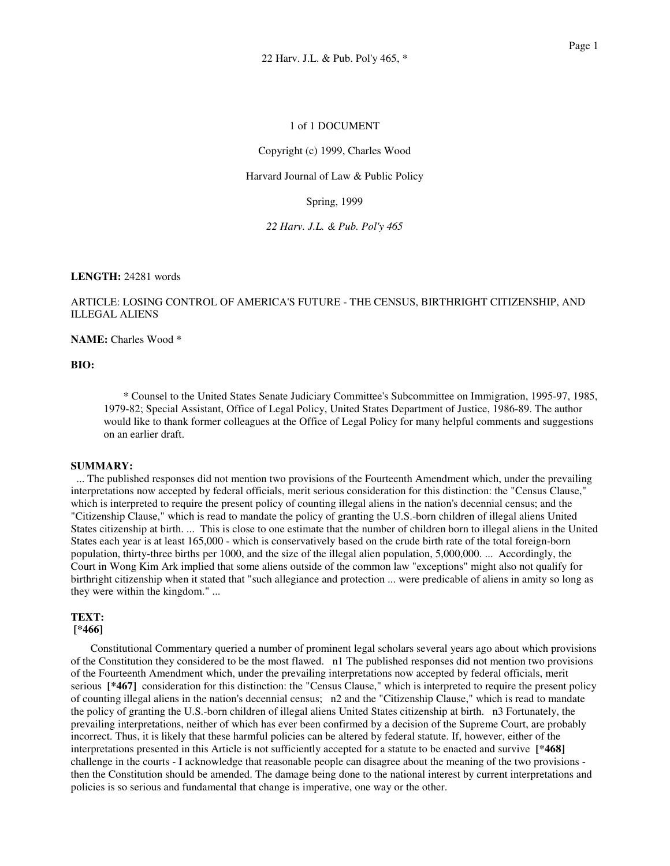## 1 of 1 DOCUMENT

Copyright (c) 1999, Charles Wood

## Harvard Journal of Law & Public Policy

Spring, 1999

*22 Harv. J.L. & Pub. Pol'y 465*

## **LENGTH:** 24281 words

## ARTICLE: LOSING CONTROL OF AMERICA'S FUTURE - THE CENSUS, BIRTHRIGHT CITIZENSHIP, AND ILLEGAL ALIENS

**NAME:** Charles Wood \*

## **BIO:**

\* Counsel to the United States Senate Judiciary Committee's Subcommittee on Immigration, 1995-97, 1985, 1979-82; Special Assistant, Office of Legal Policy, United States Department of Justice, 1986-89. The author would like to thank former colleagues at the Office of Legal Policy for many helpful comments and suggestions on an earlier draft.

### **SUMMARY:**

... The published responses did not mention two provisions of the Fourteenth Amendment which, under the prevailing interpretations now accepted by federal officials, merit serious consideration for this distinction: the "Census Clause," which is interpreted to require the present policy of counting illegal aliens in the nation's decennial census; and the "Citizenship Clause," which is read to mandate the policy of granting the U.S.-born children of illegal aliens United States citizenship at birth. ... This is close to one estimate that the number of children born to illegal aliens in the United States each year is at least 165,000 - which is conservatively based on the crude birth rate of the total foreign-born population, thirty-three births per 1000, and the size of the illegal alien population, 5,000,000. ... Accordingly, the Court in Wong Kim Ark implied that some aliens outside of the common law "exceptions" might also not qualify for birthright citizenship when it stated that "such allegiance and protection ... were predicable of aliens in amity so long as they were within the kingdom." ...

# **TEXT:**

## **[\*466]**

Constitutional Commentary queried a number of prominent legal scholars several years ago about which provisions of the Constitution they considered to be the most flawed. n1 The published responses did not mention two provisions of the Fourteenth Amendment which, under the prevailing interpretations now accepted by federal officials, merit serious [\*467] consideration for this distinction: the "Census Clause," which is interpreted to require the present policy of counting illegal aliens in the nation's decennial census; n2 and the "Citizenship Clause," which is read to mandate the policy of granting the U.S.-born children of illegal aliens United States citizenship at birth. n3 Fortunately, the prevailing interpretations, neither of which has ever been confirmed by a decision of the Supreme Court, are probably incorrect. Thus, it is likely that these harmful policies can be altered by federal statute. If, however, either of the interpretations presented in this Article is not sufficiently accepted for a statute to be enacted and survive **[\*468]** challenge in the courts - I acknowledge that reasonable people can disagree about the meaning of the two provisions then the Constitution should be amended. The damage being done to the national interest by current interpretations and policies is so serious and fundamental that change is imperative, one way or the other.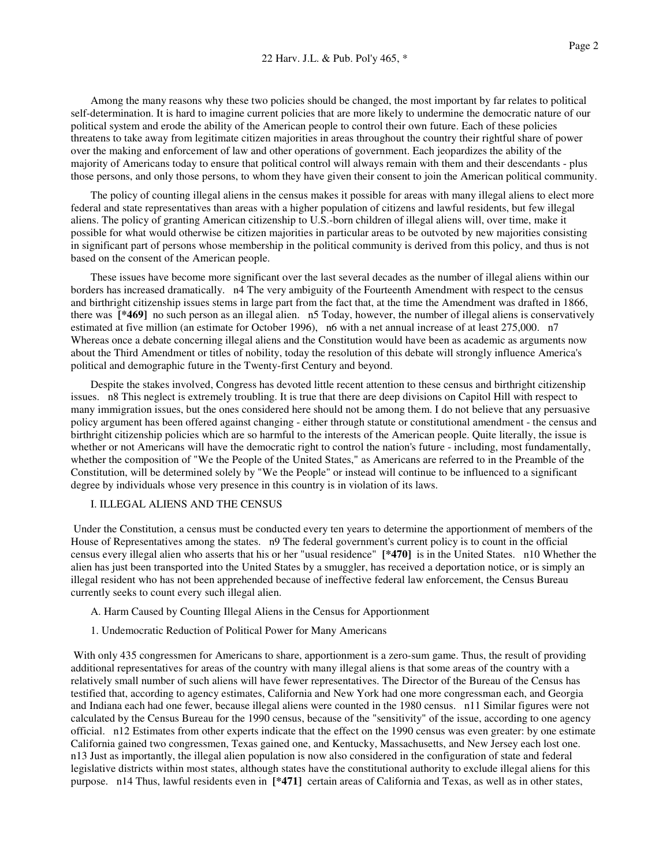Among the many reasons why these two policies should be changed, the most important by far relates to political self-determination. It is hard to imagine current policies that are more likely to undermine the democratic nature of our political system and erode the ability of the American people to control their own future. Each of these policies threatens to take away from legitimate citizen majorities in areas throughout the country their rightful share of power over the making and enforcement of law and other operations of government. Each jeopardizes the ability of the majority of Americans today to ensure that political control will always remain with them and their descendants - plus those persons, and only those persons, to whom they have given their consent to join the American political community.

The policy of counting illegal aliens in the census makes it possible for areas with many illegal aliens to elect more federal and state representatives than areas with a higher population of citizens and lawful residents, but few illegal aliens. The policy of granting American citizenship to U.S.-born children of illegal aliens will, over time, make it possible for what would otherwise be citizen majorities in particular areas to be outvoted by new majorities consisting in significant part of persons whose membership in the political community is derived from this policy, and thus is not based on the consent of the American people.

These issues have become more significant over the last several decades as the number of illegal aliens within our borders has increased dramatically. n4 The very ambiguity of the Fourteenth Amendment with respect to the census and birthright citizenship issues stems in large part from the fact that, at the time the Amendment was drafted in 1866, there was **[\*469]** no such person as an illegal alien. n5 Today, however, the number of illegal aliens is conservatively estimated at five million (an estimate for October 1996), n6 with a net annual increase of at least 275,000. n7 Whereas once a debate concerning illegal aliens and the Constitution would have been as academic as arguments now about the Third Amendment or titles of nobility, today the resolution of this debate will strongly influence America's political and demographic future in the Twenty-first Century and beyond.

Despite the stakes involved, Congress has devoted little recent attention to these census and birthright citizenship issues. n8 This neglect is extremely troubling. It is true that there are deep divisions on Capitol Hill with respect to many immigration issues, but the ones considered here should not be among them. I do not believe that any persuasive policy argument has been offered against changing - either through statute or constitutional amendment - the census and birthright citizenship policies which are so harmful to the interests of the American people. Quite literally, the issue is whether or not Americans will have the democratic right to control the nation's future - including, most fundamentally, whether the composition of "We the People of the United States," as Americans are referred to in the Preamble of the Constitution, will be determined solely by "We the People" or instead will continue to be influenced to a significant degree by individuals whose very presence in this country is in violation of its laws.

## I. ILLEGAL ALIENS AND THE CENSUS

Under the Constitution, a census must be conducted every ten years to determine the apportionment of members of the House of Representatives among the states. n9 The federal government's current policy is to count in the official census every illegal alien who asserts that his or her "usual residence" **[\*470]** is in the United States. n10 Whether the alien has just been transported into the United States by a smuggler, has received a deportation notice, or is simply an illegal resident who has not been apprehended because of ineffective federal law enforcement, the Census Bureau currently seeks to count every such illegal alien.

- A. Harm Caused by Counting Illegal Aliens in the Census for Apportionment
- 1. Undemocratic Reduction of Political Power for Many Americans

With only 435 congressmen for Americans to share, apportionment is a zero-sum game. Thus, the result of providing additional representatives for areas of the country with many illegal aliens is that some areas of the country with a relatively small number of such aliens will have fewer representatives. The Director of the Bureau of the Census has testified that, according to agency estimates, California and New York had one more congressman each, and Georgia and Indiana each had one fewer, because illegal aliens were counted in the 1980 census. n11 Similar figures were not calculated by the Census Bureau for the 1990 census, because of the "sensitivity" of the issue, according to one agency official. n12 Estimates from other experts indicate that the effect on the 1990 census was even greater: by one estimate California gained two congressmen, Texas gained one, and Kentucky, Massachusetts, and New Jersey each lost one. n13 Just as importantly, the illegal alien population is now also considered in the configuration of state and federal legislative districts within most states, although states have the constitutional authority to exclude illegal aliens for this purpose. n14 Thus, lawful residents even in **[\*471]** certain areas of California and Texas, as well as in other states,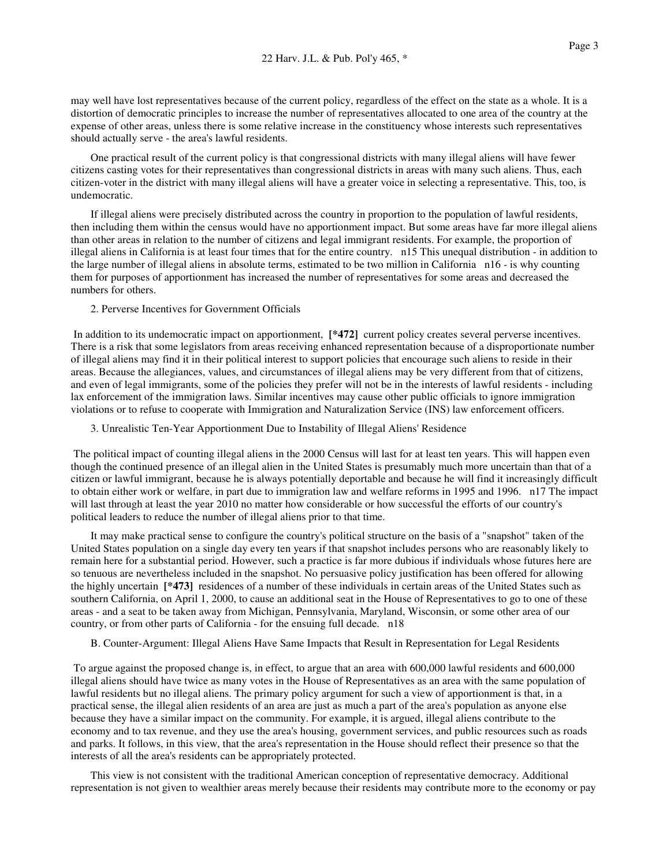may well have lost representatives because of the current policy, regardless of the effect on the state as a whole. It is a distortion of democratic principles to increase the number of representatives allocated to one area of the country at the expense of other areas, unless there is some relative increase in the constituency whose interests such representatives should actually serve - the area's lawful residents.

One practical result of the current policy is that congressional districts with many illegal aliens will have fewer citizens casting votes for their representatives than congressional districts in areas with many such aliens. Thus, each citizen-voter in the district with many illegal aliens will have a greater voice in selecting a representative. This, too, is undemocratic.

If illegal aliens were precisely distributed across the country in proportion to the population of lawful residents, then including them within the census would have no apportionment impact. But some areas have far more illegal aliens than other areas in relation to the number of citizens and legal immigrant residents. For example, the proportion of illegal aliens in California is at least four times that for the entire country. n15 This unequal distribution - in addition to the large number of illegal aliens in absolute terms, estimated to be two million in California n16 - is why counting them for purposes of apportionment has increased the number of representatives for some areas and decreased the numbers for others.

2. Perverse Incentives for Government Officials

In addition to its undemocratic impact on apportionment, **[\*472]** current policy creates several perverse incentives. There is a risk that some legislators from areas receiving enhanced representation because of a disproportionate number of illegal aliens may find it in their political interest to support policies that encourage such aliens to reside in their areas. Because the allegiances, values, and circumstances of illegal aliens may be very different from that of citizens, and even of legal immigrants, some of the policies they prefer will not be in the interests of lawful residents - including lax enforcement of the immigration laws. Similar incentives may cause other public officials to ignore immigration violations or to refuse to cooperate with Immigration and Naturalization Service (INS) law enforcement officers.

3. Unrealistic Ten-Year Apportionment Due to Instability of Illegal Aliens' Residence

The political impact of counting illegal aliens in the 2000 Census will last for at least ten years. This will happen even though the continued presence of an illegal alien in the United States is presumably much more uncertain than that of a citizen or lawful immigrant, because he is always potentially deportable and because he will find it increasingly difficult to obtain either work or welfare, in part due to immigration law and welfare reforms in 1995 and 1996. n17 The impact will last through at least the year 2010 no matter how considerable or how successful the efforts of our country's political leaders to reduce the number of illegal aliens prior to that time.

It may make practical sense to configure the country's political structure on the basis of a "snapshot" taken of the United States population on a single day every ten years if that snapshot includes persons who are reasonably likely to remain here for a substantial period. However, such a practice is far more dubious if individuals whose futures here are so tenuous are nevertheless included in the snapshot. No persuasive policy justification has been offered for allowing the highly uncertain **[\*473]** residences of a number of these individuals in certain areas of the United States such as southern California, on April 1, 2000, to cause an additional seat in the House of Representatives to go to one of these areas - and a seat to be taken away from Michigan, Pennsylvania, Maryland, Wisconsin, or some other area of our country, or from other parts of California - for the ensuing full decade. n18

B. Counter-Argument: Illegal Aliens Have Same Impacts that Result in Representation for Legal Residents

To argue against the proposed change is, in effect, to argue that an area with 600,000 lawful residents and 600,000 illegal aliens should have twice as many votes in the House of Representatives as an area with the same population of lawful residents but no illegal aliens. The primary policy argument for such a view of apportionment is that, in a practical sense, the illegal alien residents of an area are just as much a part of the area's population as anyone else because they have a similar impact on the community. For example, it is argued, illegal aliens contribute to the economy and to tax revenue, and they use the area's housing, government services, and public resources such as roads and parks. It follows, in this view, that the area's representation in the House should reflect their presence so that the interests of all the area's residents can be appropriately protected.

This view is not consistent with the traditional American conception of representative democracy. Additional representation is not given to wealthier areas merely because their residents may contribute more to the economy or pay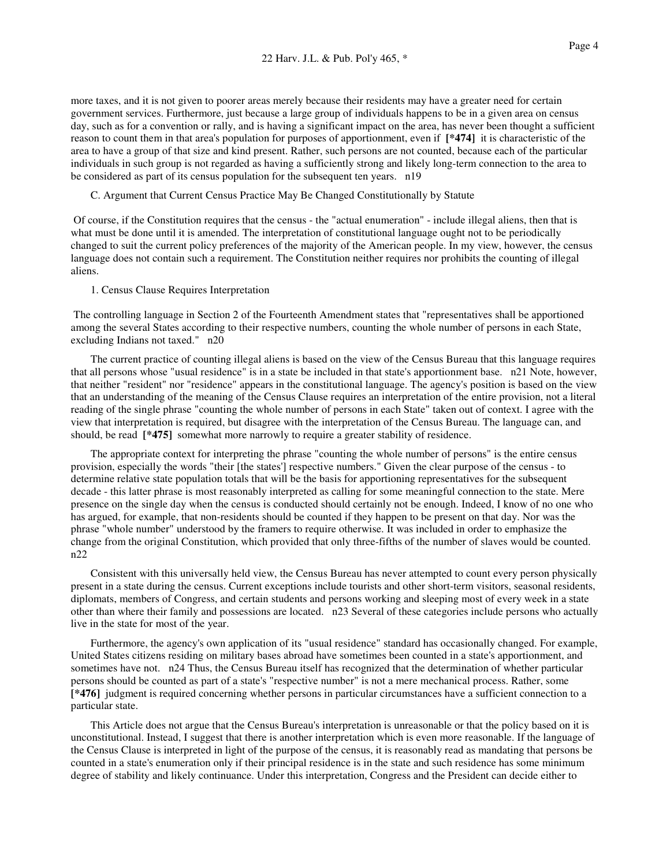more taxes, and it is not given to poorer areas merely because their residents may have a greater need for certain government services. Furthermore, just because a large group of individuals happens to be in a given area on census day, such as for a convention or rally, and is having a significant impact on the area, has never been thought a sufficient reason to count them in that area's population for purposes of apportionment, even if **[\*474]** it is characteristic of the area to have a group of that size and kind present. Rather, such persons are not counted, because each of the particular individuals in such group is not regarded as having a sufficiently strong and likely long-term connection to the area to be considered as part of its census population for the subsequent ten years. n19

C. Argument that Current Census Practice May Be Changed Constitutionally by Statute

Of course, if the Constitution requires that the census - the "actual enumeration" - include illegal aliens, then that is what must be done until it is amended. The interpretation of constitutional language ought not to be periodically changed to suit the current policy preferences of the majority of the American people. In my view, however, the census language does not contain such a requirement. The Constitution neither requires nor prohibits the counting of illegal aliens.

1. Census Clause Requires Interpretation

The controlling language in Section 2 of the Fourteenth Amendment states that "representatives shall be apportioned among the several States according to their respective numbers, counting the whole number of persons in each State, excluding Indians not taxed." n20

The current practice of counting illegal aliens is based on the view of the Census Bureau that this language requires that all persons whose "usual residence" is in a state be included in that state's apportionment base. n21 Note, however, that neither "resident" nor "residence" appears in the constitutional language. The agency's position is based on the view that an understanding of the meaning of the Census Clause requires an interpretation of the entire provision, not a literal reading of the single phrase "counting the whole number of persons in each State" taken out of context. I agree with the view that interpretation is required, but disagree with the interpretation of the Census Bureau. The language can, and should, be read **[\*475]** somewhat more narrowly to require a greater stability of residence.

The appropriate context for interpreting the phrase "counting the whole number of persons" is the entire census provision, especially the words "their [the states'] respective numbers." Given the clear purpose of the census - to determine relative state population totals that will be the basis for apportioning representatives for the subsequent decade - this latter phrase is most reasonably interpreted as calling for some meaningful connection to the state. Mere presence on the single day when the census is conducted should certainly not be enough. Indeed, I know of no one who has argued, for example, that non-residents should be counted if they happen to be present on that day. Nor was the phrase "whole number" understood by the framers to require otherwise. It was included in order to emphasize the change from the original Constitution, which provided that only three-fifths of the number of slaves would be counted. n22

Consistent with this universally held view, the Census Bureau has never attempted to count every person physically present in a state during the census. Current exceptions include tourists and other short-term visitors, seasonal residents, diplomats, members of Congress, and certain students and persons working and sleeping most of every week in a state other than where their family and possessions are located. n23 Several of these categories include persons who actually live in the state for most of the year.

Furthermore, the agency's own application of its "usual residence" standard has occasionally changed. For example, United States citizens residing on military bases abroad have sometimes been counted in a state's apportionment, and sometimes have not. n24 Thus, the Census Bureau itself has recognized that the determination of whether particular persons should be counted as part of a state's "respective number" is not a mere mechanical process. Rather, some **[\*476]** judgment is required concerning whether persons in particular circumstances have a sufficient connection to a particular state.

This Article does not argue that the Census Bureau's interpretation is unreasonable or that the policy based on it is unconstitutional. Instead, I suggest that there is another interpretation which is even more reasonable. If the language of the Census Clause is interpreted in light of the purpose of the census, it is reasonably read as mandating that persons be counted in a state's enumeration only if their principal residence is in the state and such residence has some minimum degree of stability and likely continuance. Under this interpretation, Congress and the President can decide either to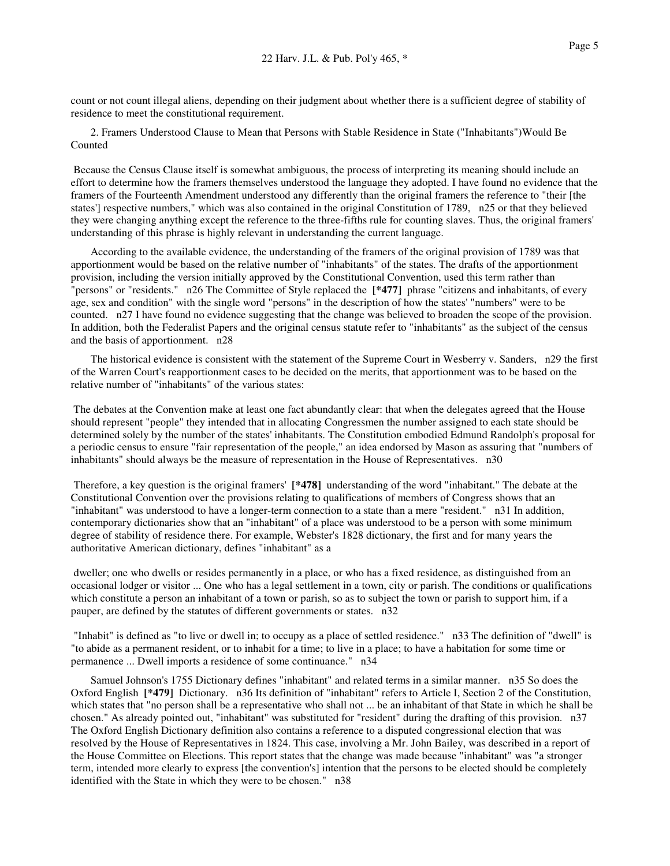count or not count illegal aliens, depending on their judgment about whether there is a sufficient degree of stability of residence to meet the constitutional requirement.

2. Framers Understood Clause to Mean that Persons with Stable Residence in State ("Inhabitants")Would Be Counted

Because the Census Clause itself is somewhat ambiguous, the process of interpreting its meaning should include an effort to determine how the framers themselves understood the language they adopted. I have found no evidence that the framers of the Fourteenth Amendment understood any differently than the original framers the reference to "their [the states'] respective numbers," which was also contained in the original Constitution of 1789, n25 or that they believed they were changing anything except the reference to the three-fifths rule for counting slaves. Thus, the original framers' understanding of this phrase is highly relevant in understanding the current language.

According to the available evidence, the understanding of the framers of the original provision of 1789 was that apportionment would be based on the relative number of "inhabitants" of the states. The drafts of the apportionment provision, including the version initially approved by the Constitutional Convention, used this term rather than "persons" or "residents." n26 The Committee of Style replaced the **[\*477]** phrase "citizens and inhabitants, of every age, sex and condition" with the single word "persons" in the description of how the states' "numbers" were to be counted. n27 I have found no evidence suggesting that the change was believed to broaden the scope of the provision. In addition, both the Federalist Papers and the original census statute refer to "inhabitants" as the subject of the census and the basis of apportionment. n28

The historical evidence is consistent with the statement of the Supreme Court in Wesberry v. Sanders, n29 the first of the Warren Court's reapportionment cases to be decided on the merits, that apportionment was to be based on the relative number of "inhabitants" of the various states:

The debates at the Convention make at least one fact abundantly clear: that when the delegates agreed that the House should represent "people" they intended that in allocating Congressmen the number assigned to each state should be determined solely by the number of the states' inhabitants. The Constitution embodied Edmund Randolph's proposal for a periodic census to ensure "fair representation of the people," an idea endorsed by Mason as assuring that "numbers of inhabitants" should always be the measure of representation in the House of Representatives. n30

Therefore, a key question is the original framers' **[\*478]** understanding of the word "inhabitant." The debate at the Constitutional Convention over the provisions relating to qualifications of members of Congress shows that an "inhabitant" was understood to have a longer-term connection to a state than a mere "resident." n31 In addition, contemporary dictionaries show that an "inhabitant" of a place was understood to be a person with some minimum degree of stability of residence there. For example, Webster's 1828 dictionary, the first and for many years the authoritative American dictionary, defines "inhabitant" as a

dweller; one who dwells or resides permanently in a place, or who has a fixed residence, as distinguished from an occasional lodger or visitor ... One who has a legal settlement in a town, city or parish. The conditions or qualifications which constitute a person an inhabitant of a town or parish, so as to subject the town or parish to support him, if a pauper, are defined by the statutes of different governments or states. n32

"Inhabit" is defined as "to live or dwell in; to occupy as a place of settled residence." n33 The definition of "dwell" is "to abide as a permanent resident, or to inhabit for a time; to live in a place; to have a habitation for some time or permanence ... Dwell imports a residence of some continuance." n34

Samuel Johnson's 1755 Dictionary defines "inhabitant" and related terms in a similar manner. n35 So does the Oxford English **[\*479]** Dictionary. n36 Its definition of "inhabitant" refers to Article I, Section 2 of the Constitution, which states that "no person shall be a representative who shall not ... be an inhabitant of that State in which he shall be chosen." As already pointed out, "inhabitant" was substituted for "resident" during the drafting of this provision. n37 The Oxford English Dictionary definition also contains a reference to a disputed congressional election that was resolved by the House of Representatives in 1824. This case, involving a Mr. John Bailey, was described in a report of the House Committee on Elections. This report states that the change was made because "inhabitant" was "a stronger term, intended more clearly to express [the convention's] intention that the persons to be elected should be completely identified with the State in which they were to be chosen." n38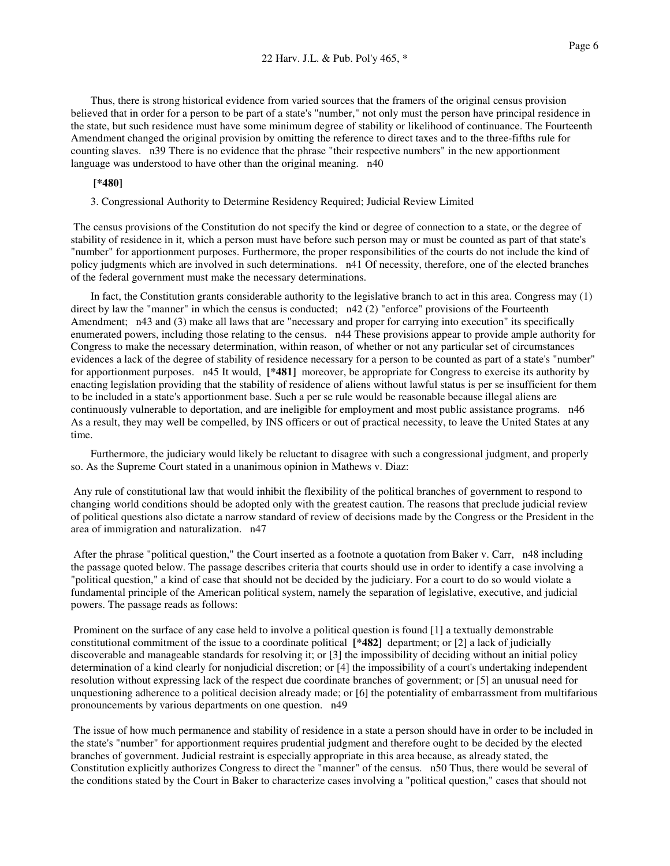Thus, there is strong historical evidence from varied sources that the framers of the original census provision believed that in order for a person to be part of a state's "number," not only must the person have principal residence in the state, but such residence must have some minimum degree of stability or likelihood of continuance. The Fourteenth Amendment changed the original provision by omitting the reference to direct taxes and to the three-fifths rule for counting slaves. n39 There is no evidence that the phrase "their respective numbers" in the new apportionment language was understood to have other than the original meaning. n40

## **[\*480]**

3. Congressional Authority to Determine Residency Required; Judicial Review Limited

The census provisions of the Constitution do not specify the kind or degree of connection to a state, or the degree of stability of residence in it, which a person must have before such person may or must be counted as part of that state's "number" for apportionment purposes. Furthermore, the proper responsibilities of the courts do not include the kind of policy judgments which are involved in such determinations. n41 Of necessity, therefore, one of the elected branches of the federal government must make the necessary determinations.

In fact, the Constitution grants considerable authority to the legislative branch to act in this area. Congress may (1) direct by law the "manner" in which the census is conducted; n42 (2) "enforce" provisions of the Fourteenth Amendment; n43 and (3) make all laws that are "necessary and proper for carrying into execution" its specifically enumerated powers, including those relating to the census. n44 These provisions appear to provide ample authority for Congress to make the necessary determination, within reason, of whether or not any particular set of circumstances evidences a lack of the degree of stability of residence necessary for a person to be counted as part of a state's "number" for apportionment purposes. n45 It would, **[\*481]** moreover, be appropriate for Congress to exercise its authority by enacting legislation providing that the stability of residence of aliens without lawful status is per se insufficient for them to be included in a state's apportionment base. Such a per se rule would be reasonable because illegal aliens are continuously vulnerable to deportation, and are ineligible for employment and most public assistance programs. n46 As a result, they may well be compelled, by INS officers or out of practical necessity, to leave the United States at any time.

Furthermore, the judiciary would likely be reluctant to disagree with such a congressional judgment, and properly so. As the Supreme Court stated in a unanimous opinion in Mathews v. Diaz:

Any rule of constitutional law that would inhibit the flexibility of the political branches of government to respond to changing world conditions should be adopted only with the greatest caution. The reasons that preclude judicial review of political questions also dictate a narrow standard of review of decisions made by the Congress or the President in the area of immigration and naturalization. n47

After the phrase "political question," the Court inserted as a footnote a quotation from Baker v. Carr, n48 including the passage quoted below. The passage describes criteria that courts should use in order to identify a case involving a "political question," a kind of case that should not be decided by the judiciary. For a court to do so would violate a fundamental principle of the American political system, namely the separation of legislative, executive, and judicial powers. The passage reads as follows:

Prominent on the surface of any case held to involve a political question is found [1] a textually demonstrable constitutional commitment of the issue to a coordinate political **[\*482]** department; or [2] a lack of judicially discoverable and manageable standards for resolving it; or [3] the impossibility of deciding without an initial policy determination of a kind clearly for nonjudicial discretion; or [4] the impossibility of a court's undertaking independent resolution without expressing lack of the respect due coordinate branches of government; or [5] an unusual need for unquestioning adherence to a political decision already made; or [6] the potentiality of embarrassment from multifarious pronouncements by various departments on one question. n49

The issue of how much permanence and stability of residence in a state a person should have in order to be included in the state's "number" for apportionment requires prudential judgment and therefore ought to be decided by the elected branches of government. Judicial restraint is especially appropriate in this area because, as already stated, the Constitution explicitly authorizes Congress to direct the "manner" of the census. n50 Thus, there would be several of the conditions stated by the Court in Baker to characterize cases involving a "political question," cases that should not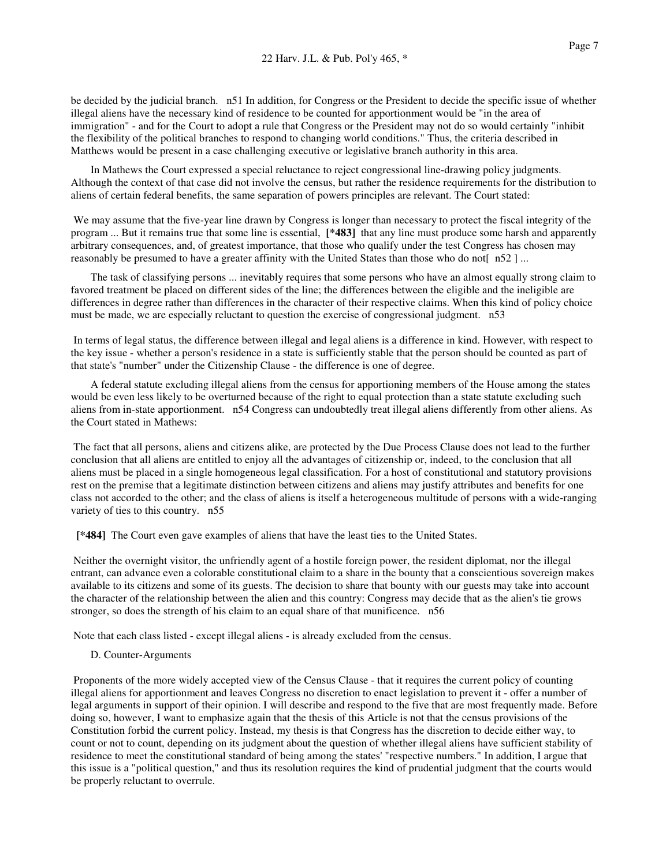be decided by the judicial branch. n51 In addition, for Congress or the President to decide the specific issue of whether illegal aliens have the necessary kind of residence to be counted for apportionment would be "in the area of immigration" - and for the Court to adopt a rule that Congress or the President may not do so would certainly "inhibit the flexibility of the political branches to respond to changing world conditions." Thus, the criteria described in Matthews would be present in a case challenging executive or legislative branch authority in this area.

In Mathews the Court expressed a special reluctance to reject congressional line-drawing policy judgments. Although the context of that case did not involve the census, but rather the residence requirements for the distribution to aliens of certain federal benefits, the same separation of powers principles are relevant. The Court stated:

We may assume that the five-year line drawn by Congress is longer than necessary to protect the fiscal integrity of the program ... But it remains true that some line is essential, **[\*483]** that any line must produce some harsh and apparently arbitrary consequences, and, of greatest importance, that those who qualify under the test Congress has chosen may reasonably be presumed to have a greater affinity with the United States than those who do not[ n52 ]...

The task of classifying persons ... inevitably requires that some persons who have an almost equally strong claim to favored treatment be placed on different sides of the line; the differences between the eligible and the ineligible are differences in degree rather than differences in the character of their respective claims. When this kind of policy choice must be made, we are especially reluctant to question the exercise of congressional judgment. n53

In terms of legal status, the difference between illegal and legal aliens is a difference in kind. However, with respect to the key issue - whether a person's residence in a state is sufficiently stable that the person should be counted as part of that state's "number" under the Citizenship Clause - the difference is one of degree.

A federal statute excluding illegal aliens from the census for apportioning members of the House among the states would be even less likely to be overturned because of the right to equal protection than a state statute excluding such aliens from in-state apportionment. n54 Congress can undoubtedly treat illegal aliens differently from other aliens. As the Court stated in Mathews:

The fact that all persons, aliens and citizens alike, are protected by the Due Process Clause does not lead to the further conclusion that all aliens are entitled to enjoy all the advantages of citizenship or, indeed, to the conclusion that all aliens must be placed in a single homogeneous legal classification. For a host of constitutional and statutory provisions rest on the premise that a legitimate distinction between citizens and aliens may justify attributes and benefits for one class not accorded to the other; and the class of aliens is itself a heterogeneous multitude of persons with a wide-ranging variety of ties to this country. n55

**[\*484]** The Court even gave examples of aliens that have the least ties to the United States.

Neither the overnight visitor, the unfriendly agent of a hostile foreign power, the resident diplomat, nor the illegal entrant, can advance even a colorable constitutional claim to a share in the bounty that a conscientious sovereign makes available to its citizens and some of its guests. The decision to share that bounty with our guests may take into account the character of the relationship between the alien and this country: Congress may decide that as the alien's tie grows stronger, so does the strength of his claim to an equal share of that munificence. n56

Note that each class listed - except illegal aliens - is already excluded from the census.

D. Counter-Arguments

Proponents of the more widely accepted view of the Census Clause - that it requires the current policy of counting illegal aliens for apportionment and leaves Congress no discretion to enact legislation to prevent it - offer a number of legal arguments in support of their opinion. I will describe and respond to the five that are most frequently made. Before doing so, however, I want to emphasize again that the thesis of this Article is not that the census provisions of the Constitution forbid the current policy. Instead, my thesis is that Congress has the discretion to decide either way, to count or not to count, depending on its judgment about the question of whether illegal aliens have sufficient stability of residence to meet the constitutional standard of being among the states' "respective numbers." In addition, I argue that this issue is a "political question," and thus its resolution requires the kind of prudential judgment that the courts would be properly reluctant to overrule.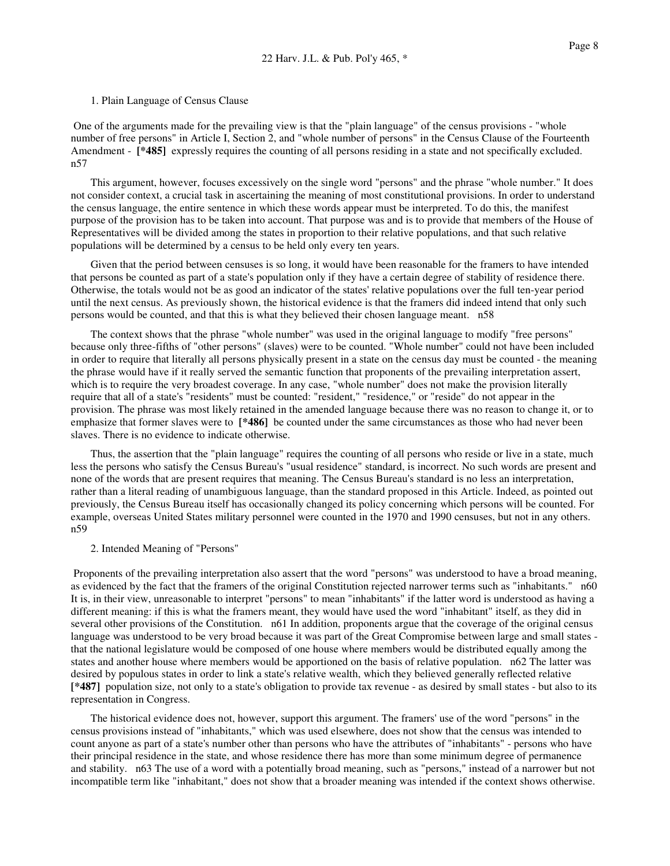#### 1. Plain Language of Census Clause

One of the arguments made for the prevailing view is that the "plain language" of the census provisions - "whole number of free persons" in Article I, Section 2, and "whole number of persons" in the Census Clause of the Fourteenth Amendment - **[\*485]** expressly requires the counting of all persons residing in a state and not specifically excluded. n57

This argument, however, focuses excessively on the single word "persons" and the phrase "whole number." It does not consider context, a crucial task in ascertaining the meaning of most constitutional provisions. In order to understand the census language, the entire sentence in which these words appear must be interpreted. To do this, the manifest purpose of the provision has to be taken into account. That purpose was and is to provide that members of the House of Representatives will be divided among the states in proportion to their relative populations, and that such relative populations will be determined by a census to be held only every ten years.

Given that the period between censuses is so long, it would have been reasonable for the framers to have intended that persons be counted as part of a state's population only if they have a certain degree of stability of residence there. Otherwise, the totals would not be as good an indicator of the states' relative populations over the full ten-year period until the next census. As previously shown, the historical evidence is that the framers did indeed intend that only such persons would be counted, and that this is what they believed their chosen language meant. n58

The context shows that the phrase "whole number" was used in the original language to modify "free persons" because only three-fifths of "other persons" (slaves) were to be counted. "Whole number" could not have been included in order to require that literally all persons physically present in a state on the census day must be counted - the meaning the phrase would have if it really served the semantic function that proponents of the prevailing interpretation assert, which is to require the very broadest coverage. In any case, "whole number" does not make the provision literally require that all of a state's "residents" must be counted: "resident," "residence," or "reside" do not appear in the provision. The phrase was most likely retained in the amended language because there was no reason to change it, or to emphasize that former slaves were to **[\*486]** be counted under the same circumstances as those who had never been slaves. There is no evidence to indicate otherwise.

Thus, the assertion that the "plain language" requires the counting of all persons who reside or live in a state, much less the persons who satisfy the Census Bureau's "usual residence" standard, is incorrect. No such words are present and none of the words that are present requires that meaning. The Census Bureau's standard is no less an interpretation, rather than a literal reading of unambiguous language, than the standard proposed in this Article. Indeed, as pointed out previously, the Census Bureau itself has occasionally changed its policy concerning which persons will be counted. For example, overseas United States military personnel were counted in the 1970 and 1990 censuses, but not in any others. n59

## 2. Intended Meaning of "Persons"

Proponents of the prevailing interpretation also assert that the word "persons" was understood to have a broad meaning, as evidenced by the fact that the framers of the original Constitution rejected narrower terms such as "inhabitants." n60 It is, in their view, unreasonable to interpret "persons" to mean "inhabitants" if the latter word is understood as having a different meaning: if this is what the framers meant, they would have used the word "inhabitant" itself, as they did in several other provisions of the Constitution. n61 In addition, proponents argue that the coverage of the original census language was understood to be very broad because it was part of the Great Compromise between large and small states that the national legislature would be composed of one house where members would be distributed equally among the states and another house where members would be apportioned on the basis of relative population. n62 The latter was desired by populous states in order to link a state's relative wealth, which they believed generally reflected relative **[\*487]** population size, not only to a state's obligation to provide tax revenue - as desired by small states - but also to its representation in Congress.

The historical evidence does not, however, support this argument. The framers' use of the word "persons" in the census provisions instead of "inhabitants," which was used elsewhere, does not show that the census was intended to count anyone as part of a state's number other than persons who have the attributes of "inhabitants" - persons who have their principal residence in the state, and whose residence there has more than some minimum degree of permanence and stability. n63 The use of a word with a potentially broad meaning, such as "persons," instead of a narrower but not incompatible term like "inhabitant," does not show that a broader meaning was intended if the context shows otherwise.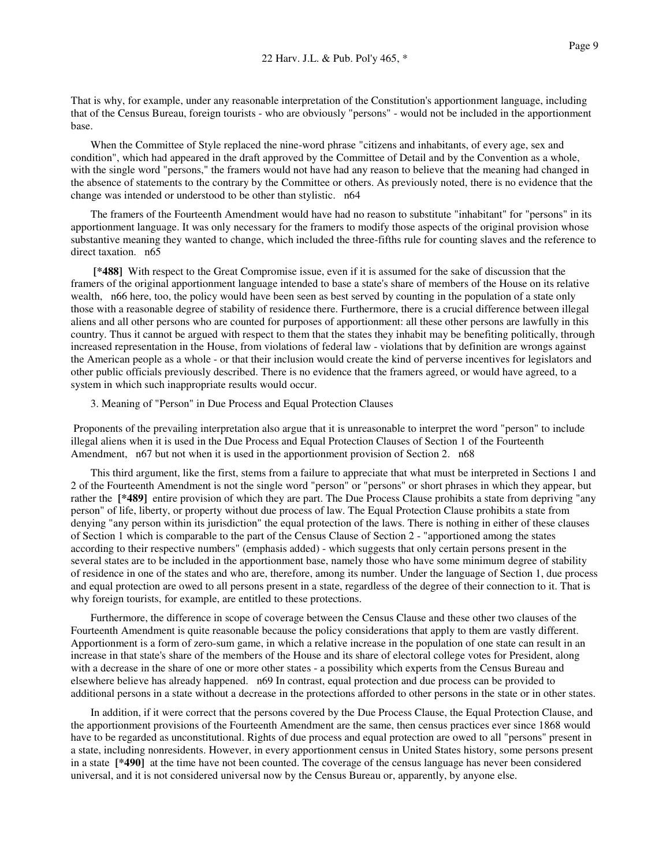That is why, for example, under any reasonable interpretation of the Constitution's apportionment language, including that of the Census Bureau, foreign tourists - who are obviously "persons" - would not be included in the apportionment base.

When the Committee of Style replaced the nine-word phrase "citizens and inhabitants, of every age, sex and condition", which had appeared in the draft approved by the Committee of Detail and by the Convention as a whole, with the single word "persons," the framers would not have had any reason to believe that the meaning had changed in the absence of statements to the contrary by the Committee or others. As previously noted, there is no evidence that the change was intended or understood to be other than stylistic. n64

The framers of the Fourteenth Amendment would have had no reason to substitute "inhabitant" for "persons" in its apportionment language. It was only necessary for the framers to modify those aspects of the original provision whose substantive meaning they wanted to change, which included the three-fifths rule for counting slaves and the reference to direct taxation. n65

**[\*488]** With respect to the Great Compromise issue, even if it is assumed for the sake of discussion that the framers of the original apportionment language intended to base a state's share of members of the House on its relative wealth, n66 here, too, the policy would have been seen as best served by counting in the population of a state only those with a reasonable degree of stability of residence there. Furthermore, there is a crucial difference between illegal aliens and all other persons who are counted for purposes of apportionment: all these other persons are lawfully in this country. Thus it cannot be argued with respect to them that the states they inhabit may be benefiting politically, through increased representation in the House, from violations of federal law - violations that by definition are wrongs against the American people as a whole - or that their inclusion would create the kind of perverse incentives for legislators and other public officials previously described. There is no evidence that the framers agreed, or would have agreed, to a system in which such inappropriate results would occur.

## 3. Meaning of "Person" in Due Process and Equal Protection Clauses

Proponents of the prevailing interpretation also argue that it is unreasonable to interpret the word "person" to include illegal aliens when it is used in the Due Process and Equal Protection Clauses of Section 1 of the Fourteenth Amendment, n67 but not when it is used in the apportionment provision of Section 2. n68

This third argument, like the first, stems from a failure to appreciate that what must be interpreted in Sections 1 and 2 of the Fourteenth Amendment is not the single word "person" or "persons" or short phrases in which they appear, but rather the **[\*489]** entire provision of which they are part. The Due Process Clause prohibits a state from depriving "any person" of life, liberty, or property without due process of law. The Equal Protection Clause prohibits a state from denying "any person within its jurisdiction" the equal protection of the laws. There is nothing in either of these clauses of Section 1 which is comparable to the part of the Census Clause of Section 2 - "apportioned among the states according to their respective numbers" (emphasis added) - which suggests that only certain persons present in the several states are to be included in the apportionment base, namely those who have some minimum degree of stability of residence in one of the states and who are, therefore, among its number. Under the language of Section 1, due process and equal protection are owed to all persons present in a state, regardless of the degree of their connection to it. That is why foreign tourists, for example, are entitled to these protections.

Furthermore, the difference in scope of coverage between the Census Clause and these other two clauses of the Fourteenth Amendment is quite reasonable because the policy considerations that apply to them are vastly different. Apportionment is a form of zero-sum game, in which a relative increase in the population of one state can result in an increase in that state's share of the members of the House and its share of electoral college votes for President, along with a decrease in the share of one or more other states - a possibility which experts from the Census Bureau and elsewhere believe has already happened. n69 In contrast, equal protection and due process can be provided to additional persons in a state without a decrease in the protections afforded to other persons in the state or in other states.

In addition, if it were correct that the persons covered by the Due Process Clause, the Equal Protection Clause, and the apportionment provisions of the Fourteenth Amendment are the same, then census practices ever since 1868 would have to be regarded as unconstitutional. Rights of due process and equal protection are owed to all "persons" present in a state, including nonresidents. However, in every apportionment census in United States history, some persons present in a state **[\*490]** at the time have not been counted. The coverage of the census language has never been considered universal, and it is not considered universal now by the Census Bureau or, apparently, by anyone else.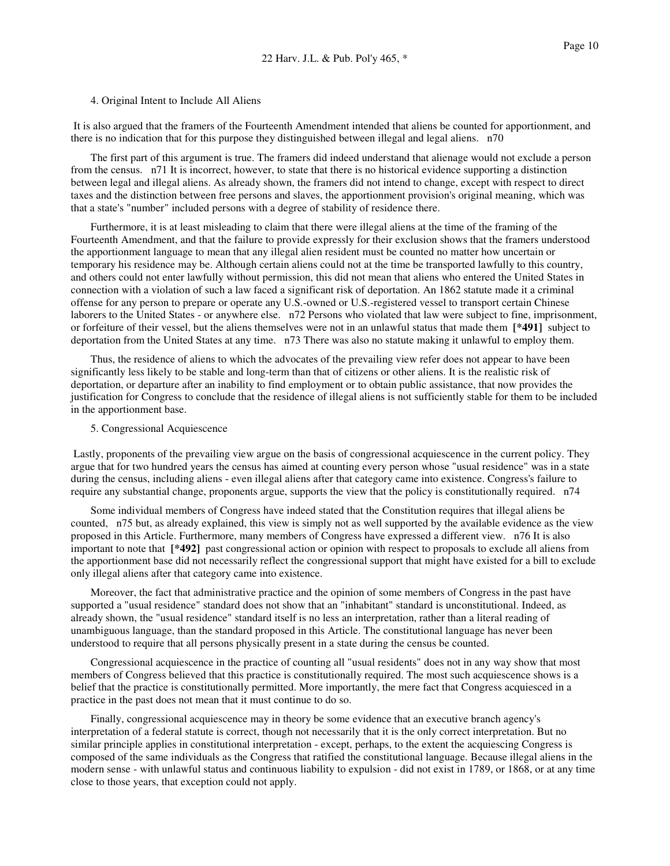4. Original Intent to Include All Aliens

It is also argued that the framers of the Fourteenth Amendment intended that aliens be counted for apportionment, and there is no indication that for this purpose they distinguished between illegal and legal aliens. n70

The first part of this argument is true. The framers did indeed understand that alienage would not exclude a person from the census. n71 It is incorrect, however, to state that there is no historical evidence supporting a distinction between legal and illegal aliens. As already shown, the framers did not intend to change, except with respect to direct taxes and the distinction between free persons and slaves, the apportionment provision's original meaning, which was that a state's "number" included persons with a degree of stability of residence there.

Furthermore, it is at least misleading to claim that there were illegal aliens at the time of the framing of the Fourteenth Amendment, and that the failure to provide expressly for their exclusion shows that the framers understood the apportionment language to mean that any illegal alien resident must be counted no matter how uncertain or temporary his residence may be. Although certain aliens could not at the time be transported lawfully to this country, and others could not enter lawfully without permission, this did not mean that aliens who entered the United States in connection with a violation of such a law faced a significant risk of deportation. An 1862 statute made it a criminal offense for any person to prepare or operate any U.S.-owned or U.S.-registered vessel to transport certain Chinese laborers to the United States - or anywhere else. n72 Persons who violated that law were subject to fine, imprisonment, or forfeiture of their vessel, but the aliens themselves were not in an unlawful status that made them **[\*491]** subject to deportation from the United States at any time. n73 There was also no statute making it unlawful to employ them.

Thus, the residence of aliens to which the advocates of the prevailing view refer does not appear to have been significantly less likely to be stable and long-term than that of citizens or other aliens. It is the realistic risk of deportation, or departure after an inability to find employment or to obtain public assistance, that now provides the justification for Congress to conclude that the residence of illegal aliens is not sufficiently stable for them to be included in the apportionment base.

5. Congressional Acquiescence

Lastly, proponents of the prevailing view argue on the basis of congressional acquiescence in the current policy. They argue that for two hundred years the census has aimed at counting every person whose "usual residence" was in a state during the census, including aliens - even illegal aliens after that category came into existence. Congress's failure to require any substantial change, proponents argue, supports the view that the policy is constitutionally required. n74

Some individual members of Congress have indeed stated that the Constitution requires that illegal aliens be counted, n75 but, as already explained, this view is simply not as well supported by the available evidence as the view proposed in this Article. Furthermore, many members of Congress have expressed a different view. n76 It is also important to note that **[\*492]** past congressional action or opinion with respect to proposals to exclude all aliens from the apportionment base did not necessarily reflect the congressional support that might have existed for a bill to exclude only illegal aliens after that category came into existence.

Moreover, the fact that administrative practice and the opinion of some members of Congress in the past have supported a "usual residence" standard does not show that an "inhabitant" standard is unconstitutional. Indeed, as already shown, the "usual residence" standard itself is no less an interpretation, rather than a literal reading of unambiguous language, than the standard proposed in this Article. The constitutional language has never been understood to require that all persons physically present in a state during the census be counted.

Congressional acquiescence in the practice of counting all "usual residents" does not in any way show that most members of Congress believed that this practice is constitutionally required. The most such acquiescence shows is a belief that the practice is constitutionally permitted. More importantly, the mere fact that Congress acquiesced in a practice in the past does not mean that it must continue to do so.

Finally, congressional acquiescence may in theory be some evidence that an executive branch agency's interpretation of a federal statute is correct, though not necessarily that it is the only correct interpretation. But no similar principle applies in constitutional interpretation - except, perhaps, to the extent the acquiescing Congress is composed of the same individuals as the Congress that ratified the constitutional language. Because illegal aliens in the modern sense - with unlawful status and continuous liability to expulsion - did not exist in 1789, or 1868, or at any time close to those years, that exception could not apply.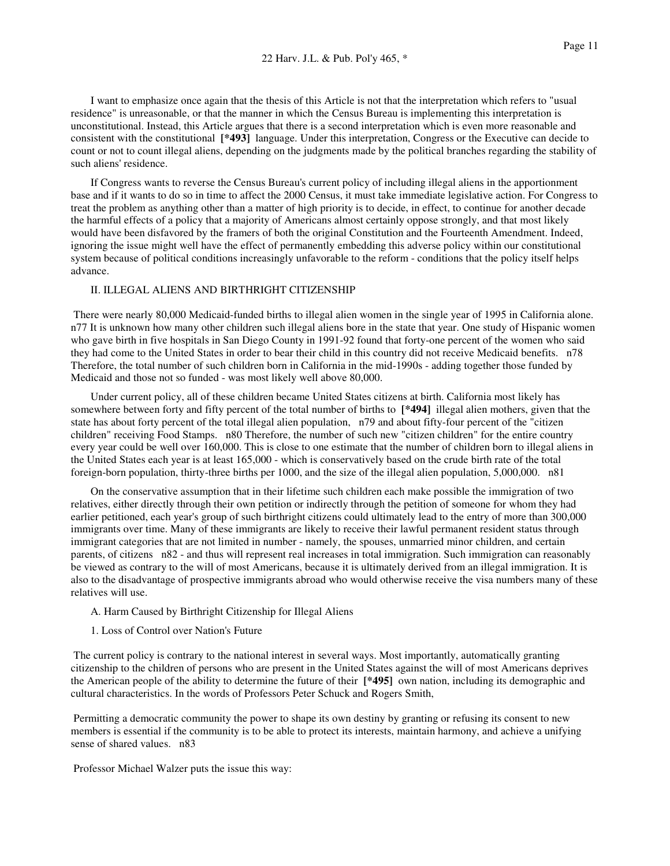I want to emphasize once again that the thesis of this Article is not that the interpretation which refers to "usual residence" is unreasonable, or that the manner in which the Census Bureau is implementing this interpretation is unconstitutional. Instead, this Article argues that there is a second interpretation which is even more reasonable and consistent with the constitutional **[\*493]** language. Under this interpretation, Congress or the Executive can decide to count or not to count illegal aliens, depending on the judgments made by the political branches regarding the stability of such aliens' residence.

If Congress wants to reverse the Census Bureau's current policy of including illegal aliens in the apportionment base and if it wants to do so in time to affect the 2000 Census, it must take immediate legislative action. For Congress to treat the problem as anything other than a matter of high priority is to decide, in effect, to continue for another decade the harmful effects of a policy that a majority of Americans almost certainly oppose strongly, and that most likely would have been disfavored by the framers of both the original Constitution and the Fourteenth Amendment. Indeed, ignoring the issue might well have the effect of permanently embedding this adverse policy within our constitutional system because of political conditions increasingly unfavorable to the reform - conditions that the policy itself helps advance.

## II. ILLEGAL ALIENS AND BIRTHRIGHT CITIZENSHIP

There were nearly 80,000 Medicaid-funded births to illegal alien women in the single year of 1995 in California alone. n77 It is unknown how many other children such illegal aliens bore in the state that year. One study of Hispanic women who gave birth in five hospitals in San Diego County in 1991-92 found that forty-one percent of the women who said they had come to the United States in order to bear their child in this country did not receive Medicaid benefits. n78 Therefore, the total number of such children born in California in the mid-1990s - adding together those funded by Medicaid and those not so funded - was most likely well above 80,000.

Under current policy, all of these children became United States citizens at birth. California most likely has somewhere between forty and fifty percent of the total number of births to **[\*494]** illegal alien mothers, given that the state has about forty percent of the total illegal alien population, n79 and about fifty-four percent of the "citizen children" receiving Food Stamps. n80 Therefore, the number of such new "citizen children" for the entire country every year could be well over 160,000. This is close to one estimate that the number of children born to illegal aliens in the United States each year is at least 165,000 - which is conservatively based on the crude birth rate of the total foreign-born population, thirty-three births per 1000, and the size of the illegal alien population, 5,000,000. n81

On the conservative assumption that in their lifetime such children each make possible the immigration of two relatives, either directly through their own petition or indirectly through the petition of someone for whom they had earlier petitioned, each year's group of such birthright citizens could ultimately lead to the entry of more than 300,000 immigrants over time. Many of these immigrants are likely to receive their lawful permanent resident status through immigrant categories that are not limited in number - namely, the spouses, unmarried minor children, and certain parents, of citizens n82 - and thus will represent real increases in total immigration. Such immigration can reasonably be viewed as contrary to the will of most Americans, because it is ultimately derived from an illegal immigration. It is also to the disadvantage of prospective immigrants abroad who would otherwise receive the visa numbers many of these relatives will use.

- A. Harm Caused by Birthright Citizenship for Illegal Aliens
- 1. Loss of Control over Nation's Future

The current policy is contrary to the national interest in several ways. Most importantly, automatically granting citizenship to the children of persons who are present in the United States against the will of most Americans deprives the American people of the ability to determine the future of their **[\*495]** own nation, including its demographic and cultural characteristics. In the words of Professors Peter Schuck and Rogers Smith,

Permitting a democratic community the power to shape its own destiny by granting or refusing its consent to new members is essential if the community is to be able to protect its interests, maintain harmony, and achieve a unifying sense of shared values. n83

Professor Michael Walzer puts the issue this way: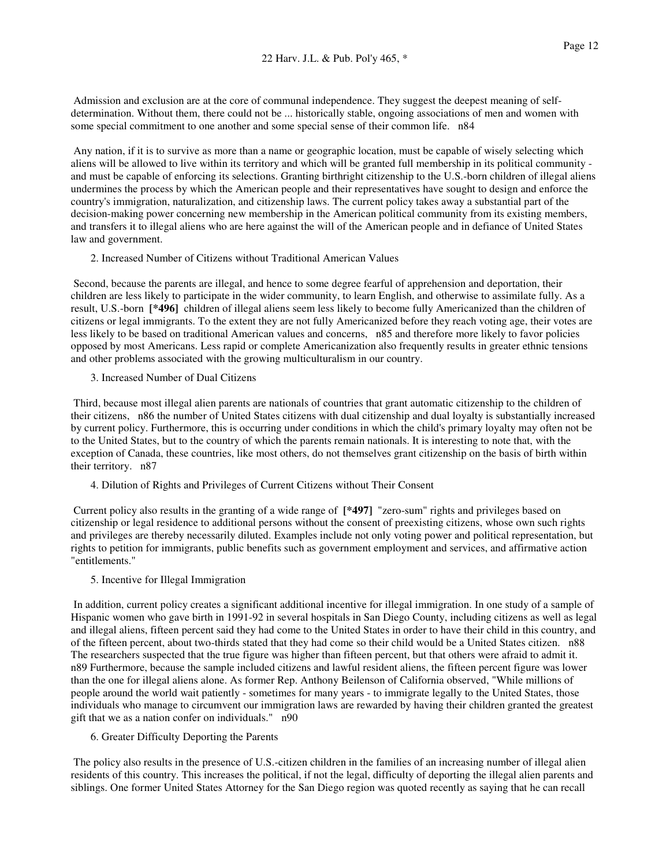Admission and exclusion are at the core of communal independence. They suggest the deepest meaning of selfdetermination. Without them, there could not be ... historically stable, ongoing associations of men and women with some special commitment to one another and some special sense of their common life. n84

Any nation, if it is to survive as more than a name or geographic location, must be capable of wisely selecting which aliens will be allowed to live within its territory and which will be granted full membership in its political community and must be capable of enforcing its selections. Granting birthright citizenship to the U.S.-born children of illegal aliens undermines the process by which the American people and their representatives have sought to design and enforce the country's immigration, naturalization, and citizenship laws. The current policy takes away a substantial part of the decision-making power concerning new membership in the American political community from its existing members, and transfers it to illegal aliens who are here against the will of the American people and in defiance of United States law and government.

2. Increased Number of Citizens without Traditional American Values

Second, because the parents are illegal, and hence to some degree fearful of apprehension and deportation, their children are less likely to participate in the wider community, to learn English, and otherwise to assimilate fully. As a result, U.S.-born **[\*496]** children of illegal aliens seem less likely to become fully Americanized than the children of citizens or legal immigrants. To the extent they are not fully Americanized before they reach voting age, their votes are less likely to be based on traditional American values and concerns, n85 and therefore more likely to favor policies opposed by most Americans. Less rapid or complete Americanization also frequently results in greater ethnic tensions and other problems associated with the growing multiculturalism in our country.

3. Increased Number of Dual Citizens

Third, because most illegal alien parents are nationals of countries that grant automatic citizenship to the children of their citizens, n86 the number of United States citizens with dual citizenship and dual loyalty is substantially increased by current policy. Furthermore, this is occurring under conditions in which the child's primary loyalty may often not be to the United States, but to the country of which the parents remain nationals. It is interesting to note that, with the exception of Canada, these countries, like most others, do not themselves grant citizenship on the basis of birth within their territory. n87

4. Dilution of Rights and Privileges of Current Citizens without Their Consent

Current policy also results in the granting of a wide range of **[\*497]** "zero-sum" rights and privileges based on citizenship or legal residence to additional persons without the consent of preexisting citizens, whose own such rights and privileges are thereby necessarily diluted. Examples include not only voting power and political representation, but rights to petition for immigrants, public benefits such as government employment and services, and affirmative action "entitlements."

5. Incentive for Illegal Immigration

In addition, current policy creates a significant additional incentive for illegal immigration. In one study of a sample of Hispanic women who gave birth in 1991-92 in several hospitals in San Diego County, including citizens as well as legal and illegal aliens, fifteen percent said they had come to the United States in order to have their child in this country, and of the fifteen percent, about two-thirds stated that they had come so their child would be a United States citizen. n88 The researchers suspected that the true figure was higher than fifteen percent, but that others were afraid to admit it. n89 Furthermore, because the sample included citizens and lawful resident aliens, the fifteen percent figure was lower than the one for illegal aliens alone. As former Rep. Anthony Beilenson of California observed, "While millions of people around the world wait patiently - sometimes for many years - to immigrate legally to the United States, those individuals who manage to circumvent our immigration laws are rewarded by having their children granted the greatest gift that we as a nation confer on individuals." n90

6. Greater Difficulty Deporting the Parents

The policy also results in the presence of U.S.-citizen children in the families of an increasing number of illegal alien residents of this country. This increases the political, if not the legal, difficulty of deporting the illegal alien parents and siblings. One former United States Attorney for the San Diego region was quoted recently as saying that he can recall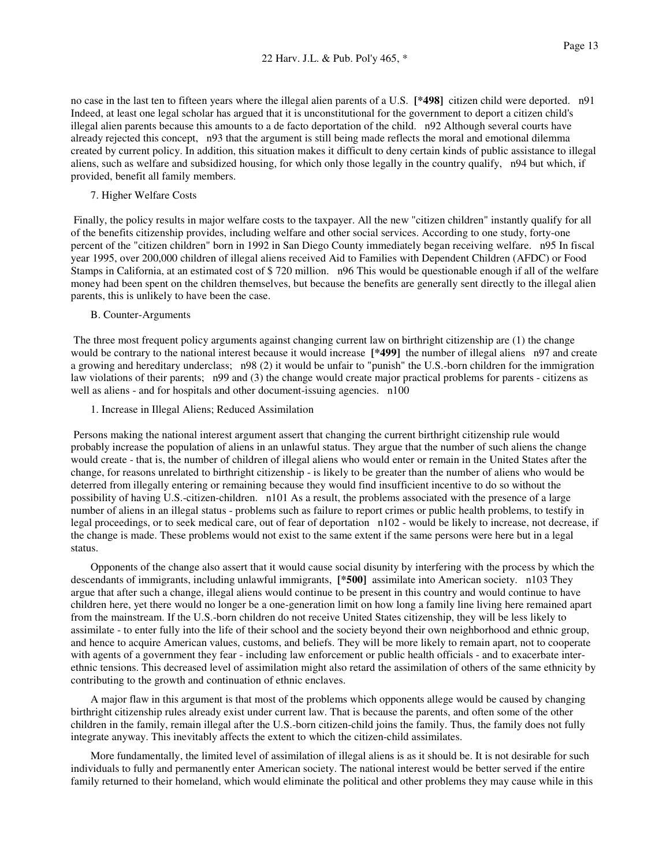no case in the last ten to fifteen years where the illegal alien parents of a U.S. **[\*498]** citizen child were deported. n91 Indeed, at least one legal scholar has argued that it is unconstitutional for the government to deport a citizen child's illegal alien parents because this amounts to a de facto deportation of the child. n92 Although several courts have already rejected this concept, n93 that the argument is still being made reflects the moral and emotional dilemma created by current policy. In addition, this situation makes it difficult to deny certain kinds of public assistance to illegal aliens, such as welfare and subsidized housing, for which only those legally in the country qualify, n94 but which, if provided, benefit all family members.

7. Higher Welfare Costs

Finally, the policy results in major welfare costs to the taxpayer. All the new "citizen children" instantly qualify for all of the benefits citizenship provides, including welfare and other social services. According to one study, forty-one percent of the "citizen children" born in 1992 in San Diego County immediately began receiving welfare. n95 In fiscal year 1995, over 200,000 children of illegal aliens received Aid to Families with Dependent Children (AFDC) or Food Stamps in California, at an estimated cost of \$ 720 million. n96 This would be questionable enough if all of the welfare money had been spent on the children themselves, but because the benefits are generally sent directly to the illegal alien parents, this is unlikely to have been the case.

## B. Counter-Arguments

The three most frequent policy arguments against changing current law on birthright citizenship are (1) the change would be contrary to the national interest because it would increase **[\*499]** the number of illegal aliens n97 and create a growing and hereditary underclass; n98 (2) it would be unfair to "punish" the U.S.-born children for the immigration law violations of their parents; n99 and (3) the change would create major practical problems for parents - citizens as well as aliens - and for hospitals and other document-issuing agencies. n100

1. Increase in Illegal Aliens; Reduced Assimilation

Persons making the national interest argument assert that changing the current birthright citizenship rule would probably increase the population of aliens in an unlawful status. They argue that the number of such aliens the change would create - that is, the number of children of illegal aliens who would enter or remain in the United States after the change, for reasons unrelated to birthright citizenship - is likely to be greater than the number of aliens who would be deterred from illegally entering or remaining because they would find insufficient incentive to do so without the possibility of having U.S.-citizen-children. n101 As a result, the problems associated with the presence of a large number of aliens in an illegal status - problems such as failure to report crimes or public health problems, to testify in legal proceedings, or to seek medical care, out of fear of deportation n102 - would be likely to increase, not decrease, if the change is made. These problems would not exist to the same extent if the same persons were here but in a legal status.

Opponents of the change also assert that it would cause social disunity by interfering with the process by which the descendants of immigrants, including unlawful immigrants, **[\*500]** assimilate into American society. n103 They argue that after such a change, illegal aliens would continue to be present in this country and would continue to have children here, yet there would no longer be a one-generation limit on how long a family line living here remained apart from the mainstream. If the U.S.-born children do not receive United States citizenship, they will be less likely to assimilate - to enter fully into the life of their school and the society beyond their own neighborhood and ethnic group, and hence to acquire American values, customs, and beliefs. They will be more likely to remain apart, not to cooperate with agents of a government they fear - including law enforcement or public health officials - and to exacerbate interethnic tensions. This decreased level of assimilation might also retard the assimilation of others of the same ethnicity by contributing to the growth and continuation of ethnic enclaves.

A major flaw in this argument is that most of the problems which opponents allege would be caused by changing birthright citizenship rules already exist under current law. That is because the parents, and often some of the other children in the family, remain illegal after the U.S.-born citizen-child joins the family. Thus, the family does not fully integrate anyway. This inevitably affects the extent to which the citizen-child assimilates.

More fundamentally, the limited level of assimilation of illegal aliens is as it should be. It is not desirable for such individuals to fully and permanently enter American society. The national interest would be better served if the entire family returned to their homeland, which would eliminate the political and other problems they may cause while in this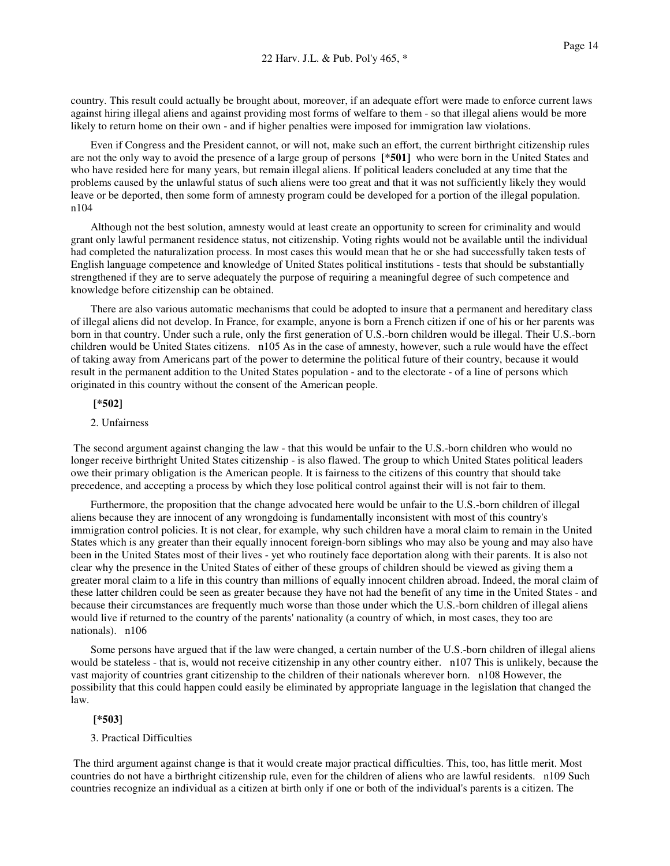country. This result could actually be brought about, moreover, if an adequate effort were made to enforce current laws against hiring illegal aliens and against providing most forms of welfare to them - so that illegal aliens would be more likely to return home on their own - and if higher penalties were imposed for immigration law violations.

Even if Congress and the President cannot, or will not, make such an effort, the current birthright citizenship rules are not the only way to avoid the presence of a large group of persons **[\*501]** who were born in the United States and who have resided here for many years, but remain illegal aliens. If political leaders concluded at any time that the problems caused by the unlawful status of such aliens were too great and that it was not sufficiently likely they would leave or be deported, then some form of amnesty program could be developed for a portion of the illegal population. n104

Although not the best solution, amnesty would at least create an opportunity to screen for criminality and would grant only lawful permanent residence status, not citizenship. Voting rights would not be available until the individual had completed the naturalization process. In most cases this would mean that he or she had successfully taken tests of English language competence and knowledge of United States political institutions - tests that should be substantially strengthened if they are to serve adequately the purpose of requiring a meaningful degree of such competence and knowledge before citizenship can be obtained.

There are also various automatic mechanisms that could be adopted to insure that a permanent and hereditary class of illegal aliens did not develop. In France, for example, anyone is born a French citizen if one of his or her parents was born in that country. Under such a rule, only the first generation of U.S.-born children would be illegal. Their U.S.-born children would be United States citizens. n105 As in the case of amnesty, however, such a rule would have the effect of taking away from Americans part of the power to determine the political future of their country, because it would result in the permanent addition to the United States population - and to the electorate - of a line of persons which originated in this country without the consent of the American people.

## **[\*502]**

## 2. Unfairness

The second argument against changing the law - that this would be unfair to the U.S.-born children who would no longer receive birthright United States citizenship - is also flawed. The group to which United States political leaders owe their primary obligation is the American people. It is fairness to the citizens of this country that should take precedence, and accepting a process by which they lose political control against their will is not fair to them.

Furthermore, the proposition that the change advocated here would be unfair to the U.S.-born children of illegal aliens because they are innocent of any wrongdoing is fundamentally inconsistent with most of this country's immigration control policies. It is not clear, for example, why such children have a moral claim to remain in the United States which is any greater than their equally innocent foreign-born siblings who may also be young and may also have been in the United States most of their lives - yet who routinely face deportation along with their parents. It is also not clear why the presence in the United States of either of these groups of children should be viewed as giving them a greater moral claim to a life in this country than millions of equally innocent children abroad. Indeed, the moral claim of these latter children could be seen as greater because they have not had the benefit of any time in the United States - and because their circumstances are frequently much worse than those under which the U.S.-born children of illegal aliens would live if returned to the country of the parents' nationality (a country of which, in most cases, they too are nationals). n106

Some persons have argued that if the law were changed, a certain number of the U.S.-born children of illegal aliens would be stateless - that is, would not receive citizenship in any other country either. n107 This is unlikely, because the vast majority of countries grant citizenship to the children of their nationals wherever born. n108 However, the possibility that this could happen could easily be eliminated by appropriate language in the legislation that changed the law.

#### **[\*503]**

## 3. Practical Difficulties

The third argument against change is that it would create major practical difficulties. This, too, has little merit. Most countries do not have a birthright citizenship rule, even for the children of aliens who are lawful residents. n109 Such countries recognize an individual as a citizen at birth only if one or both of the individual's parents is a citizen. The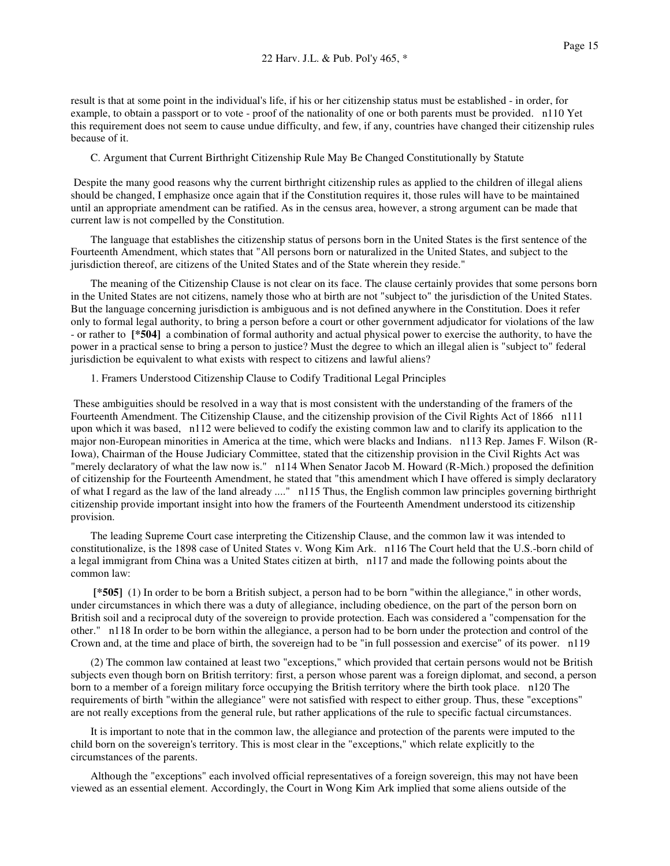result is that at some point in the individual's life, if his or her citizenship status must be established - in order, for example, to obtain a passport or to vote - proof of the nationality of one or both parents must be provided. n110 Yet this requirement does not seem to cause undue difficulty, and few, if any, countries have changed their citizenship rules because of it.

C. Argument that Current Birthright Citizenship Rule May Be Changed Constitutionally by Statute

Despite the many good reasons why the current birthright citizenship rules as applied to the children of illegal aliens should be changed, I emphasize once again that if the Constitution requires it, those rules will have to be maintained until an appropriate amendment can be ratified. As in the census area, however, a strong argument can be made that current law is not compelled by the Constitution.

The language that establishes the citizenship status of persons born in the United States is the first sentence of the Fourteenth Amendment, which states that "All persons born or naturalized in the United States, and subject to the jurisdiction thereof, are citizens of the United States and of the State wherein they reside."

The meaning of the Citizenship Clause is not clear on its face. The clause certainly provides that some persons born in the United States are not citizens, namely those who at birth are not "subject to" the jurisdiction of the United States. But the language concerning jurisdiction is ambiguous and is not defined anywhere in the Constitution. Does it refer only to formal legal authority, to bring a person before a court or other government adjudicator for violations of the law - or rather to **[\*504]** a combination of formal authority and actual physical power to exercise the authority, to have the power in a practical sense to bring a person to justice? Must the degree to which an illegal alien is "subject to" federal jurisdiction be equivalent to what exists with respect to citizens and lawful aliens?

1. Framers Understood Citizenship Clause to Codify Traditional Legal Principles

These ambiguities should be resolved in a way that is most consistent with the understanding of the framers of the Fourteenth Amendment. The Citizenship Clause, and the citizenship provision of the Civil Rights Act of 1866 n111 upon which it was based, n112 were believed to codify the existing common law and to clarify its application to the major non-European minorities in America at the time, which were blacks and Indians. n113 Rep. James F. Wilson (R-Iowa), Chairman of the House Judiciary Committee, stated that the citizenship provision in the Civil Rights Act was "merely declaratory of what the law now is." n114 When Senator Jacob M. Howard (R-Mich.) proposed the definition of citizenship for the Fourteenth Amendment, he stated that "this amendment which I have offered is simply declaratory of what I regard as the law of the land already ...." n115 Thus, the English common law principles governing birthright citizenship provide important insight into how the framers of the Fourteenth Amendment understood its citizenship provision.

The leading Supreme Court case interpreting the Citizenship Clause, and the common law it was intended to constitutionalize, is the 1898 case of United States v. Wong Kim Ark. n116 The Court held that the U.S.-born child of a legal immigrant from China was a United States citizen at birth, n117 and made the following points about the common law:

**[\*505]** (1) In order to be born a British subject, a person had to be born "within the allegiance," in other words, under circumstances in which there was a duty of allegiance, including obedience, on the part of the person born on British soil and a reciprocal duty of the sovereign to provide protection. Each was considered a "compensation for the other." n118 In order to be born within the allegiance, a person had to be born under the protection and control of the Crown and, at the time and place of birth, the sovereign had to be "in full possession and exercise" of its power. n119

(2) The common law contained at least two "exceptions," which provided that certain persons would not be British subjects even though born on British territory: first, a person whose parent was a foreign diplomat, and second, a person born to a member of a foreign military force occupying the British territory where the birth took place. n120 The requirements of birth "within the allegiance" were not satisfied with respect to either group. Thus, these "exceptions" are not really exceptions from the general rule, but rather applications of the rule to specific factual circumstances.

It is important to note that in the common law, the allegiance and protection of the parents were imputed to the child born on the sovereign's territory. This is most clear in the "exceptions," which relate explicitly to the circumstances of the parents.

Although the "exceptions" each involved official representatives of a foreign sovereign, this may not have been viewed as an essential element. Accordingly, the Court in Wong Kim Ark implied that some aliens outside of the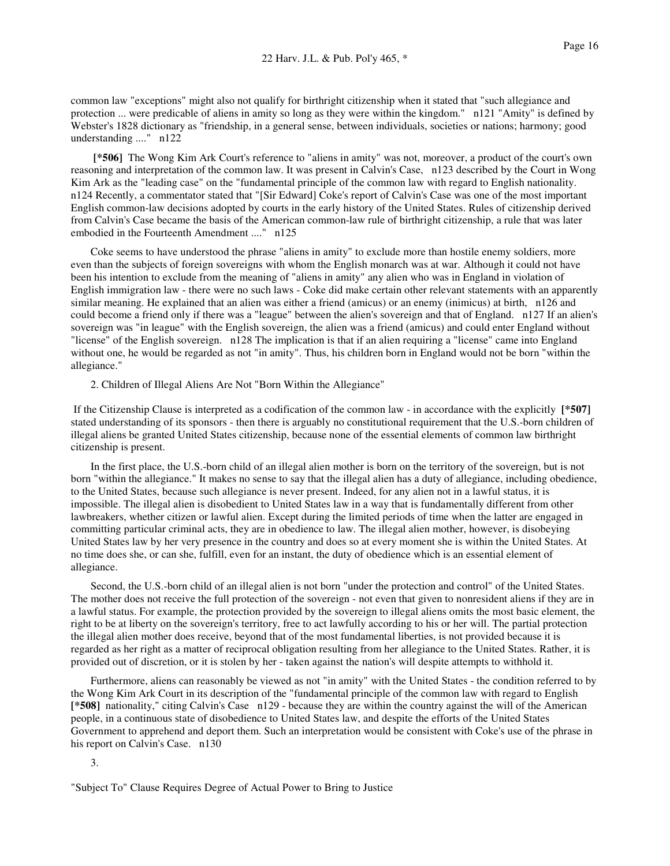common law "exceptions" might also not qualify for birthright citizenship when it stated that "such allegiance and protection ... were predicable of aliens in amity so long as they were within the kingdom." n121 "Amity" is defined by Webster's 1828 dictionary as "friendship, in a general sense, between individuals, societies or nations; harmony; good understanding ...." n122

**[\*506]** The Wong Kim Ark Court's reference to "aliens in amity" was not, moreover, a product of the court's own reasoning and interpretation of the common law. It was present in Calvin's Case, n123 described by the Court in Wong Kim Ark as the "leading case" on the "fundamental principle of the common law with regard to English nationality. n124 Recently, a commentator stated that "[Sir Edward] Coke's report of Calvin's Case was one of the most important English common-law decisions adopted by courts in the early history of the United States. Rules of citizenship derived from Calvin's Case became the basis of the American common-law rule of birthright citizenship, a rule that was later embodied in the Fourteenth Amendment ...." n125

Coke seems to have understood the phrase "aliens in amity" to exclude more than hostile enemy soldiers, more even than the subjects of foreign sovereigns with whom the English monarch was at war. Although it could not have been his intention to exclude from the meaning of "aliens in amity" any alien who was in England in violation of English immigration law - there were no such laws - Coke did make certain other relevant statements with an apparently similar meaning. He explained that an alien was either a friend (amicus) or an enemy (inimicus) at birth, n126 and could become a friend only if there was a "league" between the alien's sovereign and that of England. n127 If an alien's sovereign was "in league" with the English sovereign, the alien was a friend (amicus) and could enter England without "license" of the English sovereign. n128 The implication is that if an alien requiring a "license" came into England without one, he would be regarded as not "in amity". Thus, his children born in England would not be born "within the allegiance."

2. Children of Illegal Aliens Are Not "Born Within the Allegiance"

If the Citizenship Clause is interpreted as a codification of the common law - in accordance with the explicitly **[\*507]** stated understanding of its sponsors - then there is arguably no constitutional requirement that the U.S.-born children of illegal aliens be granted United States citizenship, because none of the essential elements of common law birthright citizenship is present.

In the first place, the U.S.-born child of an illegal alien mother is born on the territory of the sovereign, but is not born "within the allegiance." It makes no sense to say that the illegal alien has a duty of allegiance, including obedience, to the United States, because such allegiance is never present. Indeed, for any alien not in a lawful status, it is impossible. The illegal alien is disobedient to United States law in a way that is fundamentally different from other lawbreakers, whether citizen or lawful alien. Except during the limited periods of time when the latter are engaged in committing particular criminal acts, they are in obedience to law. The illegal alien mother, however, is disobeying United States law by her very presence in the country and does so at every moment she is within the United States. At no time does she, or can she, fulfill, even for an instant, the duty of obedience which is an essential element of allegiance.

Second, the U.S.-born child of an illegal alien is not born "under the protection and control" of the United States. The mother does not receive the full protection of the sovereign - not even that given to nonresident aliens if they are in a lawful status. For example, the protection provided by the sovereign to illegal aliens omits the most basic element, the right to be at liberty on the sovereign's territory, free to act lawfully according to his or her will. The partial protection the illegal alien mother does receive, beyond that of the most fundamental liberties, is not provided because it is regarded as her right as a matter of reciprocal obligation resulting from her allegiance to the United States. Rather, it is provided out of discretion, or it is stolen by her - taken against the nation's will despite attempts to withhold it.

Furthermore, aliens can reasonably be viewed as not "in amity" with the United States - the condition referred to by the Wong Kim Ark Court in its description of the "fundamental principle of the common law with regard to English **[\*508]** nationality," citing Calvin's Case n129 - because they are within the country against the will of the American people, in a continuous state of disobedience to United States law, and despite the efforts of the United States Government to apprehend and deport them. Such an interpretation would be consistent with Coke's use of the phrase in his report on Calvin's Case. n130

3.

"Subject To" Clause Requires Degree of Actual Power to Bring to Justice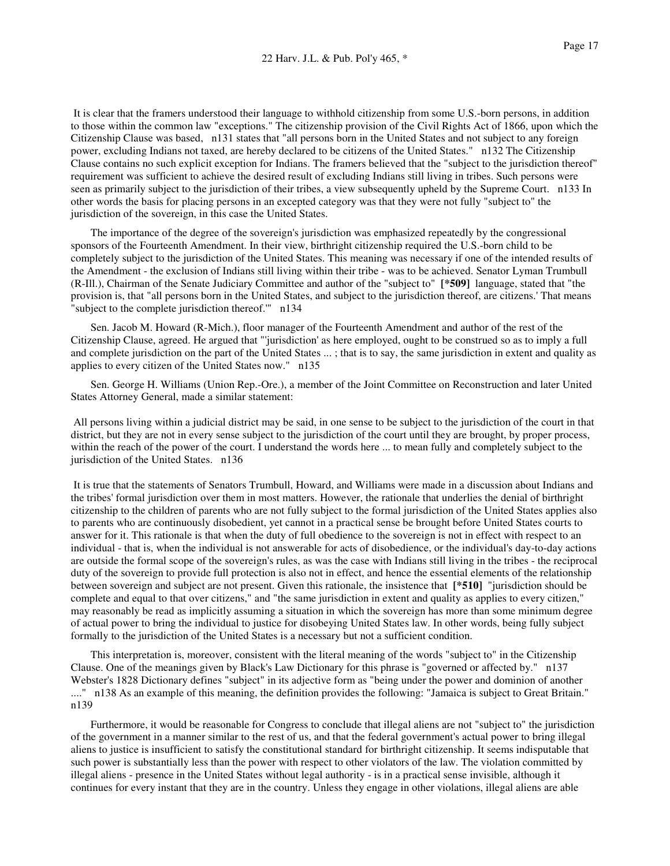It is clear that the framers understood their language to withhold citizenship from some U.S.-born persons, in addition to those within the common law "exceptions." The citizenship provision of the Civil Rights Act of 1866, upon which the Citizenship Clause was based, n131 states that "all persons born in the United States and not subject to any foreign power, excluding Indians not taxed, are hereby declared to be citizens of the United States." n132 The Citizenship Clause contains no such explicit exception for Indians. The framers believed that the "subject to the jurisdiction thereof" requirement was sufficient to achieve the desired result of excluding Indians still living in tribes. Such persons were seen as primarily subject to the jurisdiction of their tribes, a view subsequently upheld by the Supreme Court. n133 In other words the basis for placing persons in an excepted category was that they were not fully "subject to" the jurisdiction of the sovereign, in this case the United States.

The importance of the degree of the sovereign's jurisdiction was emphasized repeatedly by the congressional sponsors of the Fourteenth Amendment. In their view, birthright citizenship required the U.S.-born child to be completely subject to the jurisdiction of the United States. This meaning was necessary if one of the intended results of the Amendment - the exclusion of Indians still living within their tribe - was to be achieved. Senator Lyman Trumbull (R-Ill.), Chairman of the Senate Judiciary Committee and author of the "subject to" **[\*509]** language, stated that "the provision is, that "all persons born in the United States, and subject to the jurisdiction thereof, are citizens.' That means "subject to the complete jurisdiction thereof.'" n134

Sen. Jacob M. Howard (R-Mich.), floor manager of the Fourteenth Amendment and author of the rest of the Citizenship Clause, agreed. He argued that "'jurisdiction' as here employed, ought to be construed so as to imply a full and complete jurisdiction on the part of the United States ... ; that is to say, the same jurisdiction in extent and quality as applies to every citizen of the United States now." n135

Sen. George H. Williams (Union Rep.-Ore.), a member of the Joint Committee on Reconstruction and later United States Attorney General, made a similar statement:

All persons living within a judicial district may be said, in one sense to be subject to the jurisdiction of the court in that district, but they are not in every sense subject to the jurisdiction of the court until they are brought, by proper process, within the reach of the power of the court. I understand the words here ... to mean fully and completely subject to the jurisdiction of the United States. n136

It is true that the statements of Senators Trumbull, Howard, and Williams were made in a discussion about Indians and the tribes' formal jurisdiction over them in most matters. However, the rationale that underlies the denial of birthright citizenship to the children of parents who are not fully subject to the formal jurisdiction of the United States applies also to parents who are continuously disobedient, yet cannot in a practical sense be brought before United States courts to answer for it. This rationale is that when the duty of full obedience to the sovereign is not in effect with respect to an individual - that is, when the individual is not answerable for acts of disobedience, or the individual's day-to-day actions are outside the formal scope of the sovereign's rules, as was the case with Indians still living in the tribes - the reciprocal duty of the sovereign to provide full protection is also not in effect, and hence the essential elements of the relationship between sovereign and subject are not present. Given this rationale, the insistence that **[\*510]** "jurisdiction should be complete and equal to that over citizens," and "the same jurisdiction in extent and quality as applies to every citizen," may reasonably be read as implicitly assuming a situation in which the sovereign has more than some minimum degree of actual power to bring the individual to justice for disobeying United States law. In other words, being fully subject formally to the jurisdiction of the United States is a necessary but not a sufficient condition.

This interpretation is, moreover, consistent with the literal meaning of the words "subject to" in the Citizenship Clause. One of the meanings given by Black's Law Dictionary for this phrase is "governed or affected by." n137 Webster's 1828 Dictionary defines "subject" in its adjective form as "being under the power and dominion of another ...." n138 As an example of this meaning, the definition provides the following: "Jamaica is subject to Great Britain." n139

Furthermore, it would be reasonable for Congress to conclude that illegal aliens are not "subject to" the jurisdiction of the government in a manner similar to the rest of us, and that the federal government's actual power to bring illegal aliens to justice is insufficient to satisfy the constitutional standard for birthright citizenship. It seems indisputable that such power is substantially less than the power with respect to other violators of the law. The violation committed by illegal aliens - presence in the United States without legal authority - is in a practical sense invisible, although it continues for every instant that they are in the country. Unless they engage in other violations, illegal aliens are able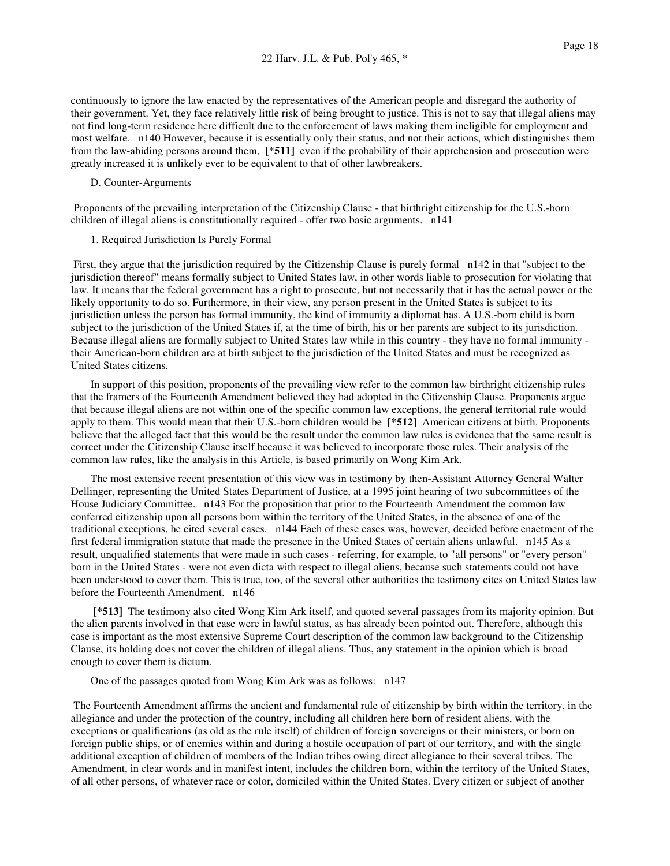continuously to ignore the law enacted by the representatives of the American people and disregard the authority of their government. Yet, they face relatively little risk of being brought to justice. This is not to say that illegal aliens may not find long-term residence here difficult due to the enforcement of laws making them ineligible for employment and most welfare. n140 However, because it is essentially only their status, and not their actions, which distinguishes them from the law-abiding persons around them, **[\*511]** even if the probability of their apprehension and prosecution were greatly increased it is unlikely ever to be equivalent to that of other lawbreakers.

## D. Counter-Arguments

Proponents of the prevailing interpretation of the Citizenship Clause - that birthright citizenship for the U.S.-born children of illegal aliens is constitutionally required - offer two basic arguments. n141

## 1. Required Jurisdiction Is Purely Formal

First, they argue that the jurisdiction required by the Citizenship Clause is purely formal n142 in that "subject to the jurisdiction thereof" means formally subject to United States law, in other words liable to prosecution for violating that law. It means that the federal government has a right to prosecute, but not necessarily that it has the actual power or the likely opportunity to do so. Furthermore, in their view, any person present in the United States is subject to its jurisdiction unless the person has formal immunity, the kind of immunity a diplomat has. A U.S.-born child is born subject to the jurisdiction of the United States if, at the time of birth, his or her parents are subject to its jurisdiction. Because illegal aliens are formally subject to United States law while in this country - they have no formal immunity their American-born children are at birth subject to the jurisdiction of the United States and must be recognized as United States citizens.

In support of this position, proponents of the prevailing view refer to the common law birthright citizenship rules that the framers of the Fourteenth Amendment believed they had adopted in the Citizenship Clause. Proponents argue that because illegal aliens are not within one of the specific common law exceptions, the general territorial rule would apply to them. This would mean that their U.S.-born children would be **[\*512]** American citizens at birth. Proponents believe that the alleged fact that this would be the result under the common law rules is evidence that the same result is correct under the Citizenship Clause itself because it was believed to incorporate those rules. Their analysis of the common law rules, like the analysis in this Article, is based primarily on Wong Kim Ark.

The most extensive recent presentation of this view was in testimony by then-Assistant Attorney General Walter Dellinger, representing the United States Department of Justice, at a 1995 joint hearing of two subcommittees of the House Judiciary Committee. n143 For the proposition that prior to the Fourteenth Amendment the common law conferred citizenship upon all persons born within the territory of the United States, in the absence of one of the traditional exceptions, he cited several cases. n144 Each of these cases was, however, decided before enactment of the first federal immigration statute that made the presence in the United States of certain aliens unlawful. n145 As a result, unqualified statements that were made in such cases - referring, for example, to "all persons" or "every person" born in the United States - were not even dicta with respect to illegal aliens, because such statements could not have been understood to cover them. This is true, too, of the several other authorities the testimony cites on United States law before the Fourteenth Amendment. n146

**[\*513]** The testimony also cited Wong Kim Ark itself, and quoted several passages from its majority opinion. But the alien parents involved in that case were in lawful status, as has already been pointed out. Therefore, although this case is important as the most extensive Supreme Court description of the common law background to the Citizenship Clause, its holding does not cover the children of illegal aliens. Thus, any statement in the opinion which is broad enough to cover them is dictum.

## One of the passages quoted from Wong Kim Ark was as follows: n147

The Fourteenth Amendment affirms the ancient and fundamental rule of citizenship by birth within the territory, in the allegiance and under the protection of the country, including all children here born of resident aliens, with the exceptions or qualifications (as old as the rule itself) of children of foreign sovereigns or their ministers, or born on foreign public ships, or of enemies within and during a hostile occupation of part of our territory, and with the single additional exception of children of members of the Indian tribes owing direct allegiance to their several tribes. The Amendment, in clear words and in manifest intent, includes the children born, within the territory of the United States, of all other persons, of whatever race or color, domiciled within the United States. Every citizen or subject of another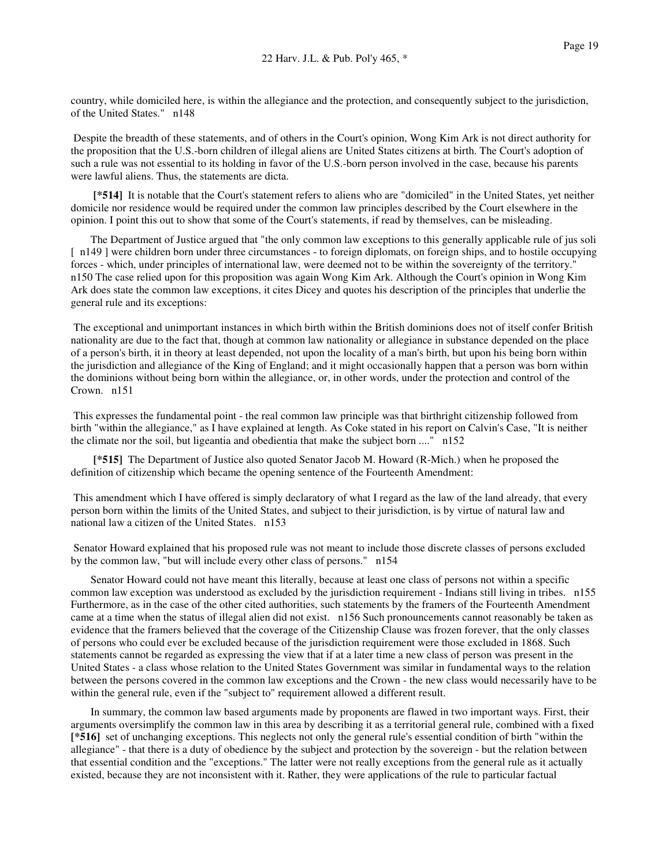country, while domiciled here, is within the allegiance and the protection, and consequently subject to the jurisdiction, of the United States." n148

Despite the breadth of these statements, and of others in the Court's opinion, Wong Kim Ark is not direct authority for the proposition that the U.S.-born children of illegal aliens are United States citizens at birth. The Court's adoption of such a rule was not essential to its holding in favor of the U.S.-born person involved in the case, because his parents were lawful aliens. Thus, the statements are dicta.

**[\*514]** It is notable that the Court's statement refers to aliens who are "domiciled" in the United States, yet neither domicile nor residence would be required under the common law principles described by the Court elsewhere in the opinion. I point this out to show that some of the Court's statements, if read by themselves, can be misleading.

The Department of Justice argued that "the only common law exceptions to this generally applicable rule of jus soli [ n149 ] were children born under three circumstances - to foreign diplomats, on foreign ships, and to hostile occupying forces - which, under principles of international law, were deemed not to be within the sovereignty of the territory." n150 The case relied upon for this proposition was again Wong Kim Ark. Although the Court's opinion in Wong Kim Ark does state the common law exceptions, it cites Dicey and quotes his description of the principles that underlie the general rule and its exceptions:

The exceptional and unimportant instances in which birth within the British dominions does not of itself confer British nationality are due to the fact that, though at common law nationality or allegiance in substance depended on the place of a person's birth, it in theory at least depended, not upon the locality of a man's birth, but upon his being born within the jurisdiction and allegiance of the King of England; and it might occasionally happen that a person was born within the dominions without being born within the allegiance, or, in other words, under the protection and control of the Crown. n151

This expresses the fundamental point - the real common law principle was that birthright citizenship followed from birth "within the allegiance," as I have explained at length. As Coke stated in his report on Calvin's Case, "It is neither the climate nor the soil, but ligeantia and obedientia that make the subject born ...." n152

**[\*515]** The Department of Justice also quoted Senator Jacob M. Howard (R-Mich.) when he proposed the definition of citizenship which became the opening sentence of the Fourteenth Amendment:

This amendment which I have offered is simply declaratory of what I regard as the law of the land already, that every person born within the limits of the United States, and subject to their jurisdiction, is by virtue of natural law and national law a citizen of the United States. n153

Senator Howard explained that his proposed rule was not meant to include those discrete classes of persons excluded by the common law, "but will include every other class of persons." n154

Senator Howard could not have meant this literally, because at least one class of persons not within a specific common law exception was understood as excluded by the jurisdiction requirement - Indians still living in tribes. n155 Furthermore, as in the case of the other cited authorities, such statements by the framers of the Fourteenth Amendment came at a time when the status of illegal alien did not exist. n156 Such pronouncements cannot reasonably be taken as evidence that the framers believed that the coverage of the Citizenship Clause was frozen forever, that the only classes of persons who could ever be excluded because of the jurisdiction requirement were those excluded in 1868. Such statements cannot be regarded as expressing the view that if at a later time a new class of person was present in the United States - a class whose relation to the United States Government was similar in fundamental ways to the relation between the persons covered in the common law exceptions and the Crown - the new class would necessarily have to be within the general rule, even if the "subject to" requirement allowed a different result.

In summary, the common law based arguments made by proponents are flawed in two important ways. First, their arguments oversimplify the common law in this area by describing it as a territorial general rule, combined with a fixed **[\*516]** set of unchanging exceptions. This neglects not only the general rule's essential condition of birth "within the allegiance" - that there is a duty of obedience by the subject and protection by the sovereign - but the relation between that essential condition and the "exceptions." The latter were not really exceptions from the general rule as it actually existed, because they are not inconsistent with it. Rather, they were applications of the rule to particular factual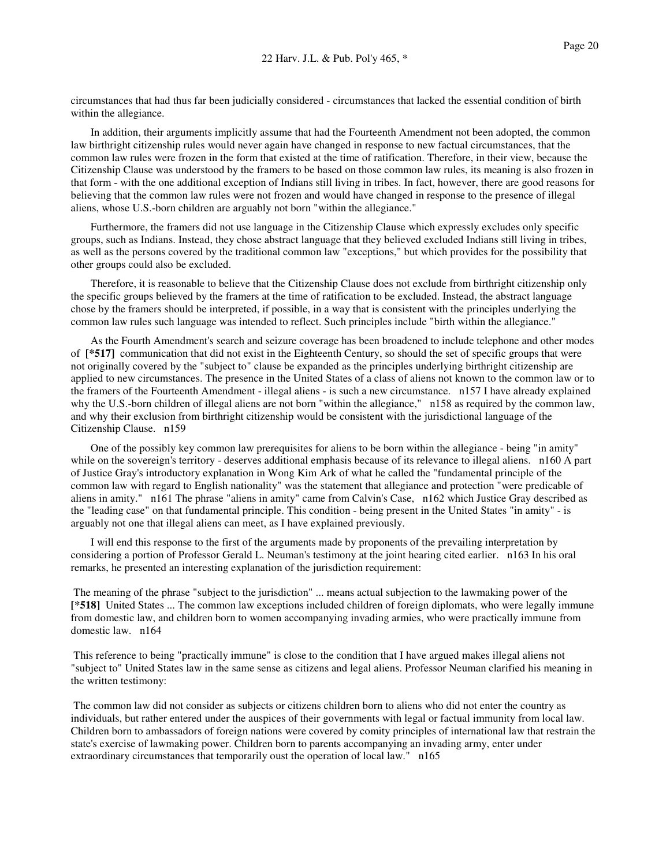circumstances that had thus far been judicially considered - circumstances that lacked the essential condition of birth within the allegiance.

In addition, their arguments implicitly assume that had the Fourteenth Amendment not been adopted, the common law birthright citizenship rules would never again have changed in response to new factual circumstances, that the common law rules were frozen in the form that existed at the time of ratification. Therefore, in their view, because the Citizenship Clause was understood by the framers to be based on those common law rules, its meaning is also frozen in that form - with the one additional exception of Indians still living in tribes. In fact, however, there are good reasons for believing that the common law rules were not frozen and would have changed in response to the presence of illegal aliens, whose U.S.-born children are arguably not born "within the allegiance."

Furthermore, the framers did not use language in the Citizenship Clause which expressly excludes only specific groups, such as Indians. Instead, they chose abstract language that they believed excluded Indians still living in tribes, as well as the persons covered by the traditional common law "exceptions," but which provides for the possibility that other groups could also be excluded.

Therefore, it is reasonable to believe that the Citizenship Clause does not exclude from birthright citizenship only the specific groups believed by the framers at the time of ratification to be excluded. Instead, the abstract language chose by the framers should be interpreted, if possible, in a way that is consistent with the principles underlying the common law rules such language was intended to reflect. Such principles include "birth within the allegiance."

As the Fourth Amendment's search and seizure coverage has been broadened to include telephone and other modes of **[\*517]** communication that did not exist in the Eighteenth Century, so should the set of specific groups that were not originally covered by the "subject to" clause be expanded as the principles underlying birthright citizenship are applied to new circumstances. The presence in the United States of a class of aliens not known to the common law or to the framers of the Fourteenth Amendment - illegal aliens - is such a new circumstance. n157 I have already explained why the U.S.-born children of illegal aliens are not born "within the allegiance," n158 as required by the common law, and why their exclusion from birthright citizenship would be consistent with the jurisdictional language of the Citizenship Clause. n159

One of the possibly key common law prerequisites for aliens to be born within the allegiance - being "in amity" while on the sovereign's territory - deserves additional emphasis because of its relevance to illegal aliens. n160 A part of Justice Gray's introductory explanation in Wong Kim Ark of what he called the "fundamental principle of the common law with regard to English nationality" was the statement that allegiance and protection "were predicable of aliens in amity." n161 The phrase "aliens in amity" came from Calvin's Case, n162 which Justice Gray described as the "leading case" on that fundamental principle. This condition - being present in the United States "in amity" - is arguably not one that illegal aliens can meet, as I have explained previously.

I will end this response to the first of the arguments made by proponents of the prevailing interpretation by considering a portion of Professor Gerald L. Neuman's testimony at the joint hearing cited earlier. n163 In his oral remarks, he presented an interesting explanation of the jurisdiction requirement:

The meaning of the phrase "subject to the jurisdiction" ... means actual subjection to the lawmaking power of the **[\*518]** United States ... The common law exceptions included children of foreign diplomats, who were legally immune from domestic law, and children born to women accompanying invading armies, who were practically immune from domestic law. n164

This reference to being "practically immune" is close to the condition that I have argued makes illegal aliens not "subject to" United States law in the same sense as citizens and legal aliens. Professor Neuman clarified his meaning in the written testimony:

The common law did not consider as subjects or citizens children born to aliens who did not enter the country as individuals, but rather entered under the auspices of their governments with legal or factual immunity from local law. Children born to ambassadors of foreign nations were covered by comity principles of international law that restrain the state's exercise of lawmaking power. Children born to parents accompanying an invading army, enter under extraordinary circumstances that temporarily oust the operation of local law." n165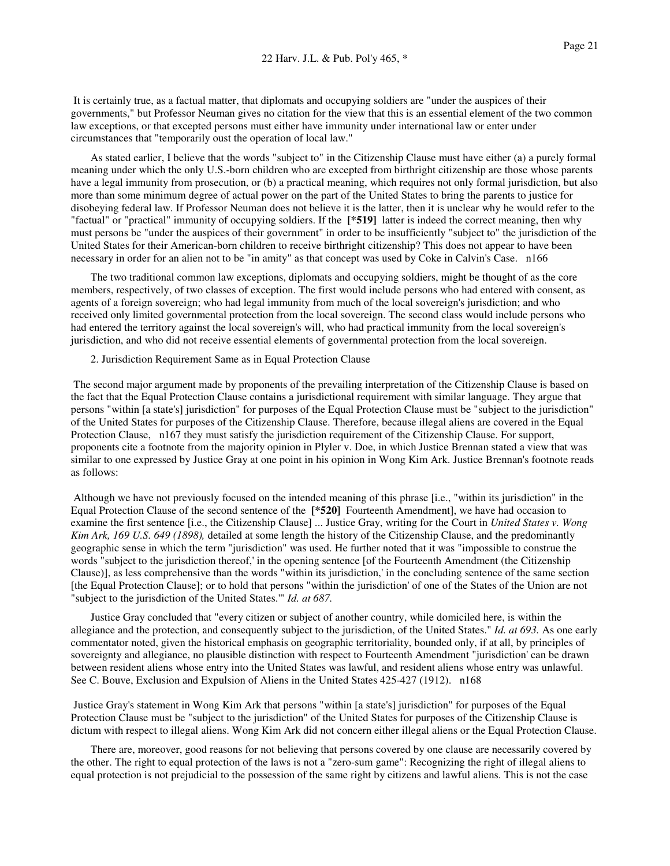It is certainly true, as a factual matter, that diplomats and occupying soldiers are "under the auspices of their governments," but Professor Neuman gives no citation for the view that this is an essential element of the two common law exceptions, or that excepted persons must either have immunity under international law or enter under circumstances that "temporarily oust the operation of local law."

As stated earlier, I believe that the words "subject to" in the Citizenship Clause must have either (a) a purely formal meaning under which the only U.S.-born children who are excepted from birthright citizenship are those whose parents have a legal immunity from prosecution, or (b) a practical meaning, which requires not only formal jurisdiction, but also more than some minimum degree of actual power on the part of the United States to bring the parents to justice for disobeying federal law. If Professor Neuman does not believe it is the latter, then it is unclear why he would refer to the "factual" or "practical" immunity of occupying soldiers. If the **[\*519]** latter is indeed the correct meaning, then why must persons be "under the auspices of their government" in order to be insufficiently "subject to" the jurisdiction of the United States for their American-born children to receive birthright citizenship? This does not appear to have been necessary in order for an alien not to be "in amity" as that concept was used by Coke in Calvin's Case. n166

The two traditional common law exceptions, diplomats and occupying soldiers, might be thought of as the core members, respectively, of two classes of exception. The first would include persons who had entered with consent, as agents of a foreign sovereign; who had legal immunity from much of the local sovereign's jurisdiction; and who received only limited governmental protection from the local sovereign. The second class would include persons who had entered the territory against the local sovereign's will, who had practical immunity from the local sovereign's jurisdiction, and who did not receive essential elements of governmental protection from the local sovereign.

2. Jurisdiction Requirement Same as in Equal Protection Clause

The second major argument made by proponents of the prevailing interpretation of the Citizenship Clause is based on the fact that the Equal Protection Clause contains a jurisdictional requirement with similar language. They argue that persons "within [a state's] jurisdiction" for purposes of the Equal Protection Clause must be "subject to the jurisdiction" of the United States for purposes of the Citizenship Clause. Therefore, because illegal aliens are covered in the Equal Protection Clause, n167 they must satisfy the jurisdiction requirement of the Citizenship Clause. For support, proponents cite a footnote from the majority opinion in Plyler v. Doe, in which Justice Brennan stated a view that was similar to one expressed by Justice Gray at one point in his opinion in Wong Kim Ark. Justice Brennan's footnote reads as follows:

Although we have not previously focused on the intended meaning of this phrase [i.e., "within its jurisdiction" in the Equal Protection Clause of the second sentence of the **[\*520]** Fourteenth Amendment], we have had occasion to examine the first sentence [i.e., the Citizenship Clause] ... Justice Gray, writing for the Court in *United States v. Wong Kim Ark, 169 U.S. 649 (1898),* detailed at some length the history of the Citizenship Clause, and the predominantly geographic sense in which the term "jurisdiction" was used. He further noted that it was "impossible to construe the words "subject to the jurisdiction thereof,' in the opening sentence [of the Fourteenth Amendment (the Citizenship Clause)], as less comprehensive than the words "within its jurisdiction,' in the concluding sentence of the same section [the Equal Protection Clause]; or to hold that persons "within the jurisdiction' of one of the States of the Union are not "subject to the jurisdiction of the United States.'" *Id. at 687.*

Justice Gray concluded that "every citizen or subject of another country, while domiciled here, is within the allegiance and the protection, and consequently subject to the jurisdiction, of the United States." *Id. at 693.* As one early commentator noted, given the historical emphasis on geographic territoriality, bounded only, if at all, by principles of sovereignty and allegiance, no plausible distinction with respect to Fourteenth Amendment "jurisdiction' can be drawn between resident aliens whose entry into the United States was lawful, and resident aliens whose entry was unlawful. See C. Bouve, Exclusion and Expulsion of Aliens in the United States 425-427 (1912). n168

Justice Gray's statement in Wong Kim Ark that persons "within [a state's] jurisdiction" for purposes of the Equal Protection Clause must be "subject to the jurisdiction" of the United States for purposes of the Citizenship Clause is dictum with respect to illegal aliens. Wong Kim Ark did not concern either illegal aliens or the Equal Protection Clause.

There are, moreover, good reasons for not believing that persons covered by one clause are necessarily covered by the other. The right to equal protection of the laws is not a "zero-sum game": Recognizing the right of illegal aliens to equal protection is not prejudicial to the possession of the same right by citizens and lawful aliens. This is not the case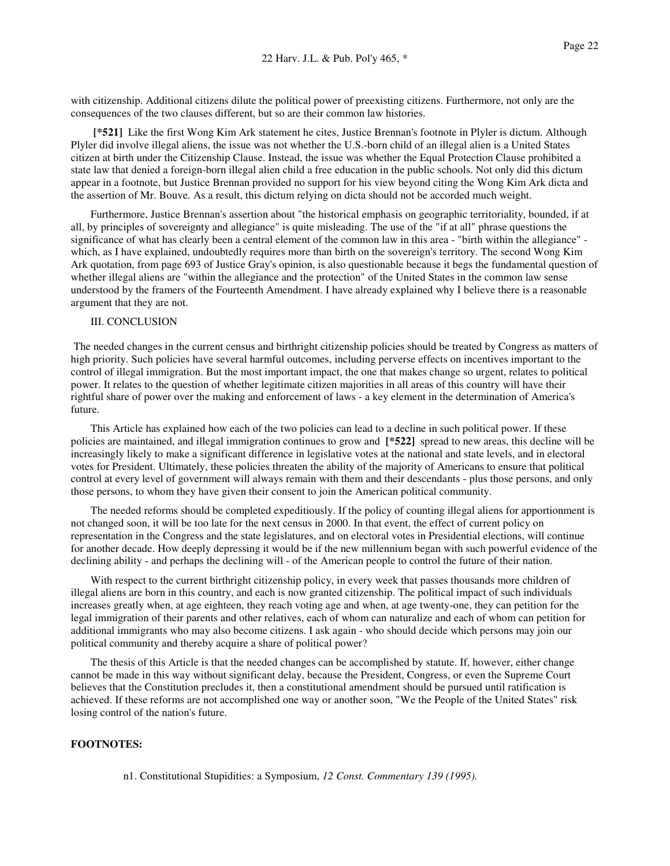with citizenship. Additional citizens dilute the political power of preexisting citizens. Furthermore, not only are the consequences of the two clauses different, but so are their common law histories.

**[\*521]** Like the first Wong Kim Ark statement he cites, Justice Brennan's footnote in Plyler is dictum. Although Plyler did involve illegal aliens, the issue was not whether the U.S.-born child of an illegal alien is a United States citizen at birth under the Citizenship Clause. Instead, the issue was whether the Equal Protection Clause prohibited a state law that denied a foreign-born illegal alien child a free education in the public schools. Not only did this dictum appear in a footnote, but Justice Brennan provided no support for his view beyond citing the Wong Kim Ark dicta and the assertion of Mr. Bouve. As a result, this dictum relying on dicta should not be accorded much weight.

Furthermore, Justice Brennan's assertion about "the historical emphasis on geographic territoriality, bounded, if at all, by principles of sovereignty and allegiance" is quite misleading. The use of the "if at all" phrase questions the significance of what has clearly been a central element of the common law in this area - "birth within the allegiance" which, as I have explained, undoubtedly requires more than birth on the sovereign's territory. The second Wong Kim Ark quotation, from page 693 of Justice Gray's opinion, is also questionable because it begs the fundamental question of whether illegal aliens are "within the allegiance and the protection" of the United States in the common law sense understood by the framers of the Fourteenth Amendment. I have already explained why I believe there is a reasonable argument that they are not.

## III. CONCLUSION

The needed changes in the current census and birthright citizenship policies should be treated by Congress as matters of high priority. Such policies have several harmful outcomes, including perverse effects on incentives important to the control of illegal immigration. But the most important impact, the one that makes change so urgent, relates to political power. It relates to the question of whether legitimate citizen majorities in all areas of this country will have their rightful share of power over the making and enforcement of laws - a key element in the determination of America's future.

This Article has explained how each of the two policies can lead to a decline in such political power. If these policies are maintained, and illegal immigration continues to grow and **[\*522]** spread to new areas, this decline will be increasingly likely to make a significant difference in legislative votes at the national and state levels, and in electoral votes for President. Ultimately, these policies threaten the ability of the majority of Americans to ensure that political control at every level of government will always remain with them and their descendants - plus those persons, and only those persons, to whom they have given their consent to join the American political community.

The needed reforms should be completed expeditiously. If the policy of counting illegal aliens for apportionment is not changed soon, it will be too late for the next census in 2000. In that event, the effect of current policy on representation in the Congress and the state legislatures, and on electoral votes in Presidential elections, will continue for another decade. How deeply depressing it would be if the new millennium began with such powerful evidence of the declining ability - and perhaps the declining will - of the American people to control the future of their nation.

With respect to the current birthright citizenship policy, in every week that passes thousands more children of illegal aliens are born in this country, and each is now granted citizenship. The political impact of such individuals increases greatly when, at age eighteen, they reach voting age and when, at age twenty-one, they can petition for the legal immigration of their parents and other relatives, each of whom can naturalize and each of whom can petition for additional immigrants who may also become citizens. I ask again - who should decide which persons may join our political community and thereby acquire a share of political power?

The thesis of this Article is that the needed changes can be accomplished by statute. If, however, either change cannot be made in this way without significant delay, because the President, Congress, or even the Supreme Court believes that the Constitution precludes it, then a constitutional amendment should be pursued until ratification is achieved. If these reforms are not accomplished one way or another soon, "We the People of the United States" risk losing control of the nation's future.

## **FOOTNOTES:**

n1. Constitutional Stupidities: a Symposium, *12 Const. Commentary 139 (1995).*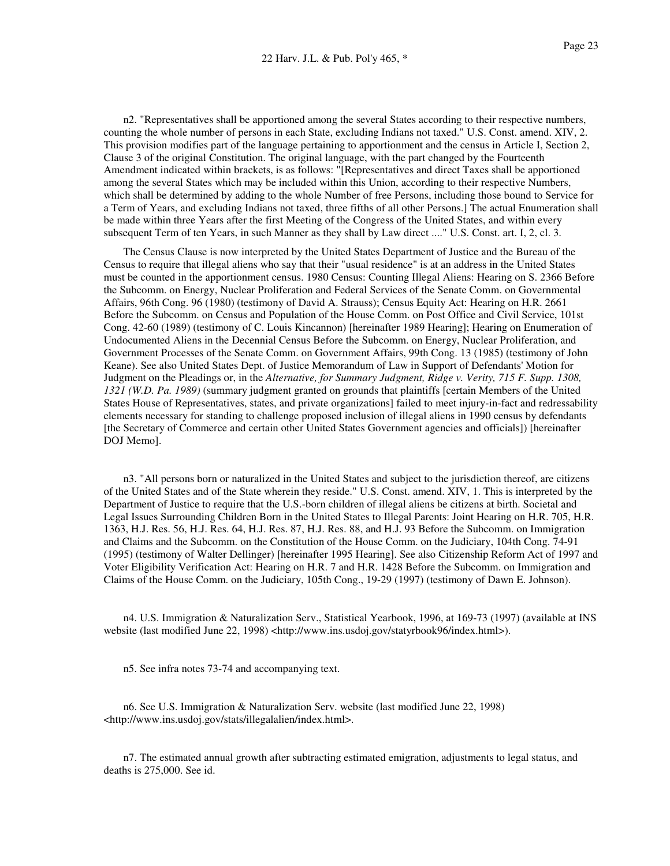n2. "Representatives shall be apportioned among the several States according to their respective numbers, counting the whole number of persons in each State, excluding Indians not taxed." U.S. Const. amend. XIV, 2. This provision modifies part of the language pertaining to apportionment and the census in Article I, Section 2, Clause 3 of the original Constitution. The original language, with the part changed by the Fourteenth Amendment indicated within brackets, is as follows: "[Representatives and direct Taxes shall be apportioned among the several States which may be included within this Union, according to their respective Numbers, which shall be determined by adding to the whole Number of free Persons, including those bound to Service for a Term of Years, and excluding Indians not taxed, three fifths of all other Persons.] The actual Enumeration shall be made within three Years after the first Meeting of the Congress of the United States, and within every subsequent Term of ten Years, in such Manner as they shall by Law direct ...." U.S. Const. art. I, 2, cl. 3.

The Census Clause is now interpreted by the United States Department of Justice and the Bureau of the Census to require that illegal aliens who say that their "usual residence" is at an address in the United States must be counted in the apportionment census. 1980 Census: Counting Illegal Aliens: Hearing on S. 2366 Before the Subcomm. on Energy, Nuclear Proliferation and Federal Services of the Senate Comm. on Governmental Affairs, 96th Cong. 96 (1980) (testimony of David A. Strauss); Census Equity Act: Hearing on H.R. 2661 Before the Subcomm. on Census and Population of the House Comm. on Post Office and Civil Service, 101st Cong. 42-60 (1989) (testimony of C. Louis Kincannon) [hereinafter 1989 Hearing]; Hearing on Enumeration of Undocumented Aliens in the Decennial Census Before the Subcomm. on Energy, Nuclear Proliferation, and Government Processes of the Senate Comm. on Government Affairs, 99th Cong. 13 (1985) (testimony of John Keane). See also United States Dept. of Justice Memorandum of Law in Support of Defendants' Motion for Judgment on the Pleadings or, in the *Alternative, for Summary Judgment, Ridge v. Verity, 715 F. Supp. 1308, 1321 (W.D. Pa. 1989)* (summary judgment granted on grounds that plaintiffs [certain Members of the United States House of Representatives, states, and private organizations] failed to meet injury-in-fact and redressability elements necessary for standing to challenge proposed inclusion of illegal aliens in 1990 census by defendants [the Secretary of Commerce and certain other United States Government agencies and officials]) [hereinafter DOJ Memo].

n3. "All persons born or naturalized in the United States and subject to the jurisdiction thereof, are citizens of the United States and of the State wherein they reside." U.S. Const. amend. XIV, 1. This is interpreted by the Department of Justice to require that the U.S.-born children of illegal aliens be citizens at birth. Societal and Legal Issues Surrounding Children Born in the United States to Illegal Parents: Joint Hearing on H.R. 705, H.R. 1363, H.J. Res. 56, H.J. Res. 64, H.J. Res. 87, H.J. Res. 88, and H.J. 93 Before the Subcomm. on Immigration and Claims and the Subcomm. on the Constitution of the House Comm. on the Judiciary, 104th Cong. 74-91 (1995) (testimony of Walter Dellinger) [hereinafter 1995 Hearing]. See also Citizenship Reform Act of 1997 and Voter Eligibility Verification Act: Hearing on H.R. 7 and H.R. 1428 Before the Subcomm. on Immigration and Claims of the House Comm. on the Judiciary, 105th Cong., 19-29 (1997) (testimony of Dawn E. Johnson).

n4. U.S. Immigration & Naturalization Serv., Statistical Yearbook, 1996, at 169-73 (1997) (available at INS website (last modified June 22, 1998) <http://www.ins.usdoj.gov/statyrbook96/index.html>).

n5. See infra notes 73-74 and accompanying text.

n6. See U.S. Immigration & Naturalization Serv. website (last modified June 22, 1998) <http://www.ins.usdoj.gov/stats/illegalalien/index.html>.

n7. The estimated annual growth after subtracting estimated emigration, adjustments to legal status, and deaths is 275,000. See id.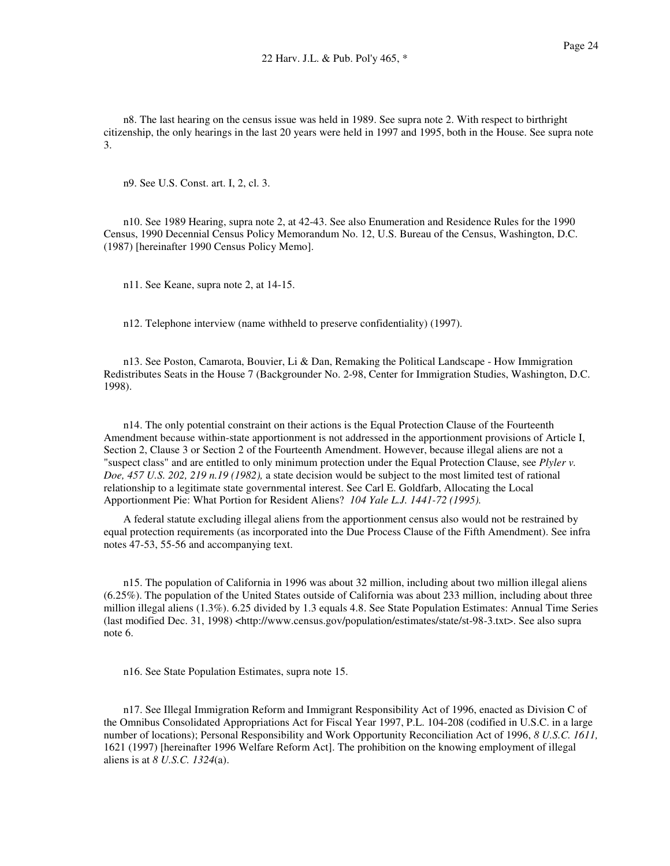n8. The last hearing on the census issue was held in 1989. See supra note 2. With respect to birthright citizenship, the only hearings in the last 20 years were held in 1997 and 1995, both in the House. See supra note 3.

n9. See U.S. Const. art. I, 2, cl. 3.

n10. See 1989 Hearing, supra note 2, at 42-43. See also Enumeration and Residence Rules for the 1990 Census, 1990 Decennial Census Policy Memorandum No. 12, U.S. Bureau of the Census, Washington, D.C. (1987) [hereinafter 1990 Census Policy Memo].

n11. See Keane, supra note 2, at 14-15.

n12. Telephone interview (name withheld to preserve confidentiality) (1997).

n13. See Poston, Camarota, Bouvier, Li & Dan, Remaking the Political Landscape - How Immigration Redistributes Seats in the House 7 (Backgrounder No. 2-98, Center for Immigration Studies, Washington, D.C. 1998).

n14. The only potential constraint on their actions is the Equal Protection Clause of the Fourteenth Amendment because within-state apportionment is not addressed in the apportionment provisions of Article I, Section 2, Clause 3 or Section 2 of the Fourteenth Amendment. However, because illegal aliens are not a "suspect class" and are entitled to only minimum protection under the Equal Protection Clause, see *Plyler v. Doe, 457 U.S. 202, 219 n.19 (1982),* a state decision would be subject to the most limited test of rational relationship to a legitimate state governmental interest. See Carl E. Goldfarb, Allocating the Local Apportionment Pie: What Portion for Resident Aliens? *104 Yale L.J. 1441-72 (1995).*

A federal statute excluding illegal aliens from the apportionment census also would not be restrained by equal protection requirements (as incorporated into the Due Process Clause of the Fifth Amendment). See infra notes 47-53, 55-56 and accompanying text.

n15. The population of California in 1996 was about 32 million, including about two million illegal aliens (6.25%). The population of the United States outside of California was about 233 million, including about three million illegal aliens (1.3%). 6.25 divided by 1.3 equals 4.8. See State Population Estimates: Annual Time Series (last modified Dec. 31, 1998) <http://www.census.gov/population/estimates/state/st-98-3.txt>. See also supra note 6.

n16. See State Population Estimates, supra note 15.

n17. See Illegal Immigration Reform and Immigrant Responsibility Act of 1996, enacted as Division C of the Omnibus Consolidated Appropriations Act for Fiscal Year 1997, P.L. 104-208 (codified in U.S.C. in a large number of locations); Personal Responsibility and Work Opportunity Reconciliation Act of 1996, *8 U.S.C. 1611,* 1621 (1997) [hereinafter 1996 Welfare Reform Act]. The prohibition on the knowing employment of illegal aliens is at *8 U.S.C. 1324*(a).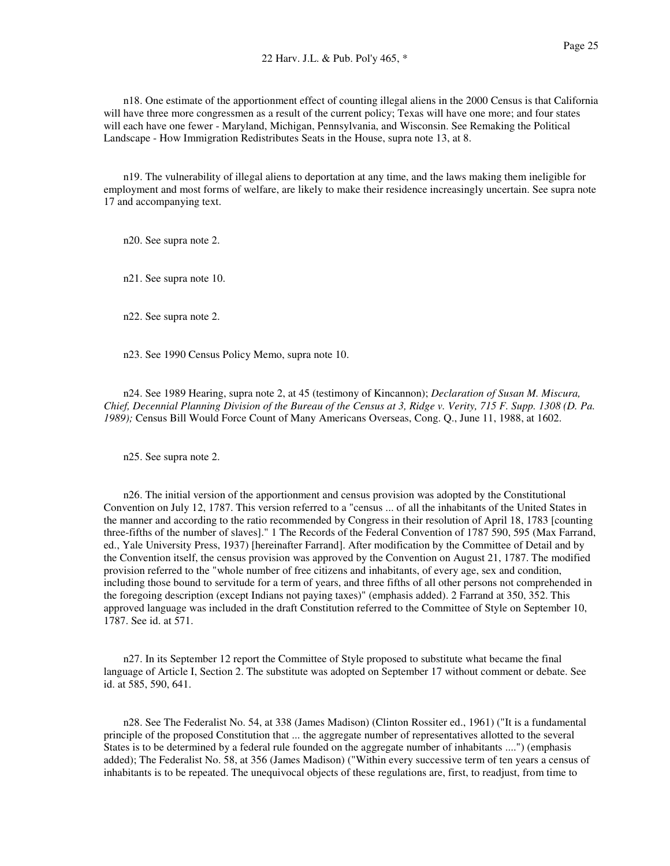n19. The vulnerability of illegal aliens to deportation at any time, and the laws making them ineligible for employment and most forms of welfare, are likely to make their residence increasingly uncertain. See supra note 17 and accompanying text.

n20. See supra note 2.

n21. See supra note 10.

n22. See supra note 2.

n23. See 1990 Census Policy Memo, supra note 10.

n24. See 1989 Hearing, supra note 2, at 45 (testimony of Kincannon); *Declaration of Susan M. Miscura,* Chief, Decennial Planning Division of the Bureau of the Census at 3, Ridge v. Verity, 715 F. Supp. 1308 (D. Pa. *1989);* Census Bill Would Force Count of Many Americans Overseas, Cong. Q., June 11, 1988, at 1602.

n25. See supra note 2.

n26. The initial version of the apportionment and census provision was adopted by the Constitutional Convention on July 12, 1787. This version referred to a "census ... of all the inhabitants of the United States in the manner and according to the ratio recommended by Congress in their resolution of April 18, 1783 [counting three-fifths of the number of slaves]." 1 The Records of the Federal Convention of 1787 590, 595 (Max Farrand, ed., Yale University Press, 1937) [hereinafter Farrand]. After modification by the Committee of Detail and by the Convention itself, the census provision was approved by the Convention on August 21, 1787. The modified provision referred to the "whole number of free citizens and inhabitants, of every age, sex and condition, including those bound to servitude for a term of years, and three fifths of all other persons not comprehended in the foregoing description (except Indians not paying taxes)" (emphasis added). 2 Farrand at 350, 352. This approved language was included in the draft Constitution referred to the Committee of Style on September 10, 1787. See id. at 571.

n27. In its September 12 report the Committee of Style proposed to substitute what became the final language of Article I, Section 2. The substitute was adopted on September 17 without comment or debate. See id. at 585, 590, 641.

n28. See The Federalist No. 54, at 338 (James Madison) (Clinton Rossiter ed., 1961) ("It is a fundamental principle of the proposed Constitution that ... the aggregate number of representatives allotted to the several States is to be determined by a federal rule founded on the aggregate number of inhabitants ....") (emphasis added); The Federalist No. 58, at 356 (James Madison) ("Within every successive term of ten years a census of inhabitants is to be repeated. The unequivocal objects of these regulations are, first, to readjust, from time to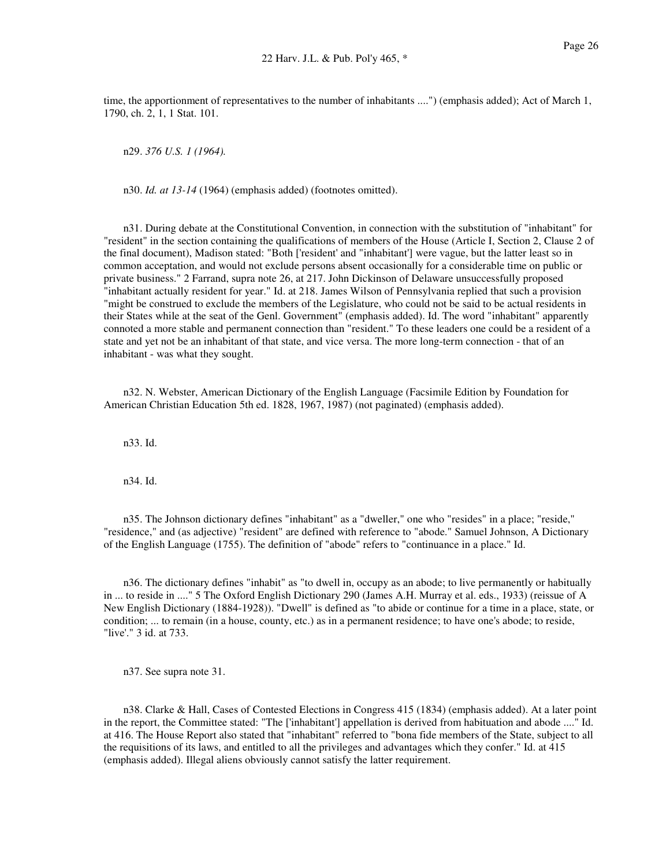time, the apportionment of representatives to the number of inhabitants ....") (emphasis added); Act of March 1, 1790, ch. 2, 1, 1 Stat. 101.

n29. *376 U.S. 1 (1964).*

n30. *Id. at 13-14* (1964) (emphasis added) (footnotes omitted).

n31. During debate at the Constitutional Convention, in connection with the substitution of "inhabitant" for "resident" in the section containing the qualifications of members of the House (Article I, Section 2, Clause 2 of the final document), Madison stated: "Both ['resident' and "inhabitant'] were vague, but the latter least so in common acceptation, and would not exclude persons absent occasionally for a considerable time on public or private business." 2 Farrand, supra note 26, at 217. John Dickinson of Delaware unsuccessfully proposed "inhabitant actually resident for year." Id. at 218. James Wilson of Pennsylvania replied that such a provision "might be construed to exclude the members of the Legislature, who could not be said to be actual residents in their States while at the seat of the Genl. Government" (emphasis added). Id. The word "inhabitant" apparently connoted a more stable and permanent connection than "resident." To these leaders one could be a resident of a state and yet not be an inhabitant of that state, and vice versa. The more long-term connection - that of an inhabitant - was what they sought.

n32. N. Webster, American Dictionary of the English Language (Facsimile Edition by Foundation for American Christian Education 5th ed. 1828, 1967, 1987) (not paginated) (emphasis added).

n33. Id.

n34. Id.

n35. The Johnson dictionary defines "inhabitant" as a "dweller," one who "resides" in a place; "reside," "residence," and (as adjective) "resident" are defined with reference to "abode." Samuel Johnson, A Dictionary of the English Language (1755). The definition of "abode" refers to "continuance in a place." Id.

n36. The dictionary defines "inhabit" as "to dwell in, occupy as an abode; to live permanently or habitually in ... to reside in ...." 5 The Oxford English Dictionary 290 (James A.H. Murray et al. eds., 1933) (reissue of A New English Dictionary (1884-1928)). "Dwell" is defined as "to abide or continue for a time in a place, state, or condition; ... to remain (in a house, county, etc.) as in a permanent residence; to have one's abode; to reside, "live'." 3 id. at 733.

n37. See supra note 31.

n38. Clarke & Hall, Cases of Contested Elections in Congress 415 (1834) (emphasis added). At a later point in the report, the Committee stated: "The ['inhabitant'] appellation is derived from habituation and abode ...." Id. at 416. The House Report also stated that "inhabitant" referred to "bona fide members of the State, subject to all the requisitions of its laws, and entitled to all the privileges and advantages which they confer." Id. at 415 (emphasis added). Illegal aliens obviously cannot satisfy the latter requirement.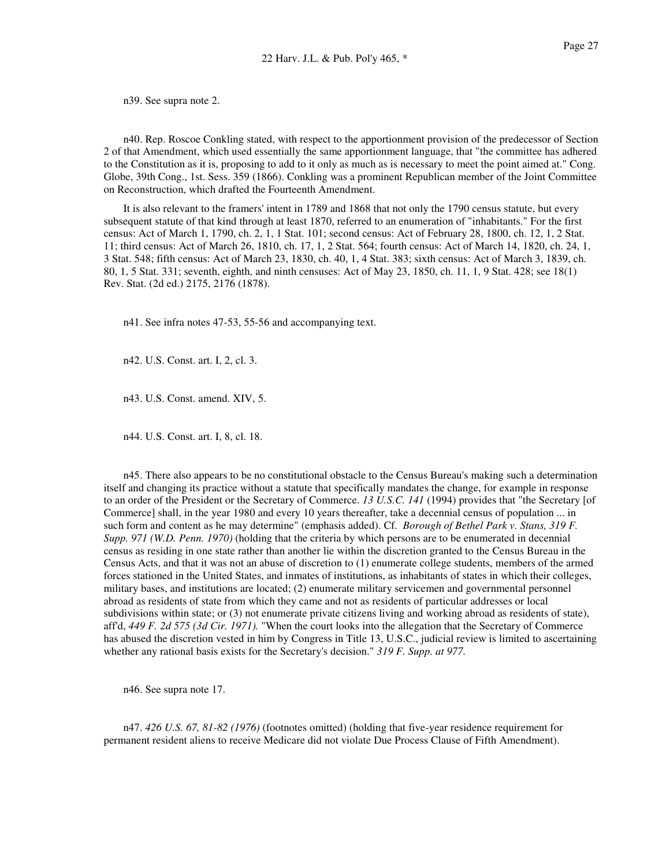n39. See supra note 2.

n40. Rep. Roscoe Conkling stated, with respect to the apportionment provision of the predecessor of Section 2 of that Amendment, which used essentially the same apportionment language, that "the committee has adhered to the Constitution as it is, proposing to add to it only as much as is necessary to meet the point aimed at." Cong. Globe, 39th Cong., 1st. Sess. 359 (1866). Conkling was a prominent Republican member of the Joint Committee on Reconstruction, which drafted the Fourteenth Amendment.

It is also relevant to the framers' intent in 1789 and 1868 that not only the 1790 census statute, but every subsequent statute of that kind through at least 1870, referred to an enumeration of "inhabitants." For the first census: Act of March 1, 1790, ch. 2, 1, 1 Stat. 101; second census: Act of February 28, 1800, ch. 12, 1, 2 Stat. 11; third census: Act of March 26, 1810, ch. 17, 1, 2 Stat. 564; fourth census: Act of March 14, 1820, ch. 24, 1, 3 Stat. 548; fifth census: Act of March 23, 1830, ch. 40, 1, 4 Stat. 383; sixth census: Act of March 3, 1839, ch. 80, 1, 5 Stat. 331; seventh, eighth, and ninth censuses: Act of May 23, 1850, ch. 11, 1, 9 Stat. 428; see 18(1) Rev. Stat. (2d ed.) 2175, 2176 (1878).

n41. See infra notes 47-53, 55-56 and accompanying text.

n42. U.S. Const. art. I, 2, cl. 3.

n43. U.S. Const. amend. XIV, 5.

n44. U.S. Const. art. I, 8, cl. 18.

n45. There also appears to be no constitutional obstacle to the Census Bureau's making such a determination itself and changing its practice without a statute that specifically mandates the change, for example in response to an order of the President or the Secretary of Commerce. *13 U.S.C. 141* (1994) provides that "the Secretary [of Commerce] shall, in the year 1980 and every 10 years thereafter, take a decennial census of population ... in such form and content as he may determine" (emphasis added). Cf. *Borough of Bethel Park v. Stans, 319 F. Supp. 971 (W.D. Penn. 1970)* (holding that the criteria by which persons are to be enumerated in decennial census as residing in one state rather than another lie within the discretion granted to the Census Bureau in the Census Acts, and that it was not an abuse of discretion to (1) enumerate college students, members of the armed forces stationed in the United States, and inmates of institutions, as inhabitants of states in which their colleges, military bases, and institutions are located; (2) enumerate military servicemen and governmental personnel abroad as residents of state from which they came and not as residents of particular addresses or local subdivisions within state; or (3) not enumerate private citizens living and working abroad as residents of state), aff'd, *449 F. 2d 575 (3d Cir. 1971).* "When the court looks into the allegation that the Secretary of Commerce has abused the discretion vested in him by Congress in Title 13, U.S.C., judicial review is limited to ascertaining whether any rational basis exists for the Secretary's decision." *319 F. Supp. at 977.*

n46. See supra note 17.

n47. *426 U.S. 67, 81-82 (1976)* (footnotes omitted) (holding that five-year residence requirement for permanent resident aliens to receive Medicare did not violate Due Process Clause of Fifth Amendment).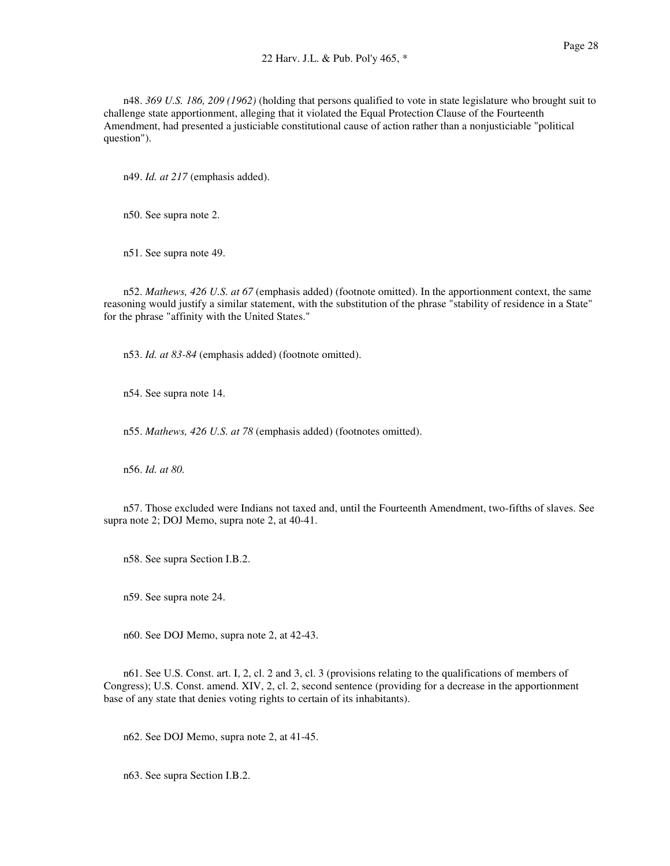n48. *369 U.S. 186, 209 (1962)* (holding that persons qualified to vote in state legislature who brought suit to challenge state apportionment, alleging that it violated the Equal Protection Clause of the Fourteenth Amendment, had presented a justiciable constitutional cause of action rather than a nonjusticiable "political question").

n49. *Id. at 217* (emphasis added).

n50. See supra note 2.

n51. See supra note 49.

n52. *Mathews, 426 U.S. at 67* (emphasis added) (footnote omitted). In the apportionment context, the same reasoning would justify a similar statement, with the substitution of the phrase "stability of residence in a State" for the phrase "affinity with the United States."

n53. *Id. at 83-84* (emphasis added) (footnote omitted).

n54. See supra note 14.

n55. *Mathews, 426 U.S. at 78* (emphasis added) (footnotes omitted).

n56. *Id. at 80.*

n57. Those excluded were Indians not taxed and, until the Fourteenth Amendment, two-fifths of slaves. See supra note 2; DOJ Memo, supra note 2, at 40-41.

n58. See supra Section I.B.2.

n59. See supra note 24.

n60. See DOJ Memo, supra note 2, at 42-43.

n61. See U.S. Const. art. I, 2, cl. 2 and 3, cl. 3 (provisions relating to the qualifications of members of Congress); U.S. Const. amend. XIV, 2, cl. 2, second sentence (providing for a decrease in the apportionment base of any state that denies voting rights to certain of its inhabitants).

n62. See DOJ Memo, supra note 2, at 41-45.

n63. See supra Section I.B.2.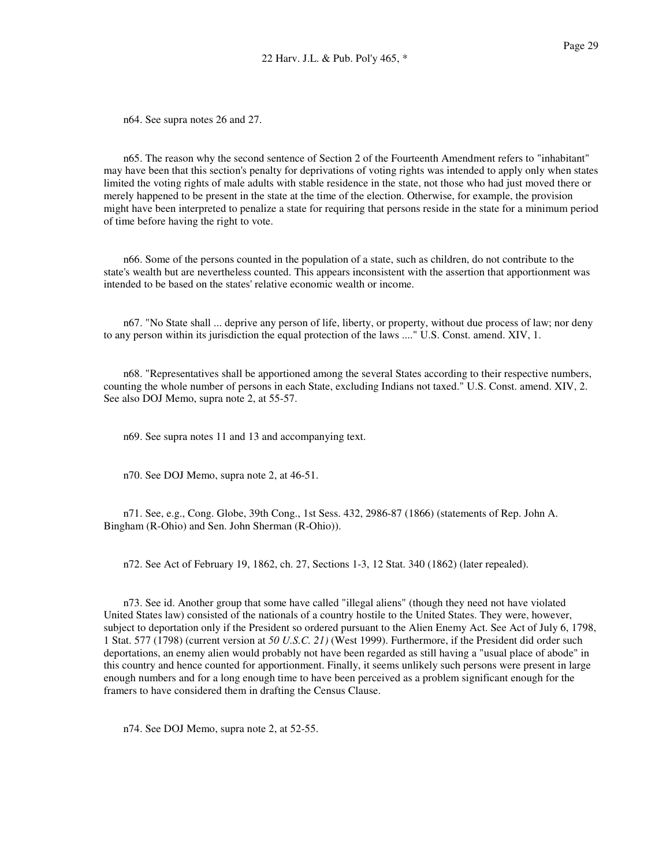n64. See supra notes 26 and 27.

n65. The reason why the second sentence of Section 2 of the Fourteenth Amendment refers to "inhabitant" may have been that this section's penalty for deprivations of voting rights was intended to apply only when states limited the voting rights of male adults with stable residence in the state, not those who had just moved there or merely happened to be present in the state at the time of the election. Otherwise, for example, the provision might have been interpreted to penalize a state for requiring that persons reside in the state for a minimum period of time before having the right to vote.

n66. Some of the persons counted in the population of a state, such as children, do not contribute to the state's wealth but are nevertheless counted. This appears inconsistent with the assertion that apportionment was intended to be based on the states' relative economic wealth or income.

n67. "No State shall ... deprive any person of life, liberty, or property, without due process of law; nor deny to any person within its jurisdiction the equal protection of the laws ...." U.S. Const. amend. XIV, 1.

n68. "Representatives shall be apportioned among the several States according to their respective numbers, counting the whole number of persons in each State, excluding Indians not taxed." U.S. Const. amend. XIV, 2. See also DOJ Memo, supra note 2, at 55-57.

n69. See supra notes 11 and 13 and accompanying text.

n70. See DOJ Memo, supra note 2, at 46-51.

n71. See, e.g., Cong. Globe, 39th Cong., 1st Sess. 432, 2986-87 (1866) (statements of Rep. John A. Bingham (R-Ohio) and Sen. John Sherman (R-Ohio)).

n72. See Act of February 19, 1862, ch. 27, Sections 1-3, 12 Stat. 340 (1862) (later repealed).

n73. See id. Another group that some have called "illegal aliens" (though they need not have violated United States law) consisted of the nationals of a country hostile to the United States. They were, however, subject to deportation only if the President so ordered pursuant to the Alien Enemy Act. See Act of July 6, 1798, 1 Stat. 577 (1798) (current version at *50 U.S.C. 21)* (West 1999). Furthermore, if the President did order such deportations, an enemy alien would probably not have been regarded as still having a "usual place of abode" in this country and hence counted for apportionment. Finally, it seems unlikely such persons were present in large enough numbers and for a long enough time to have been perceived as a problem significant enough for the framers to have considered them in drafting the Census Clause.

n74. See DOJ Memo, supra note 2, at 52-55.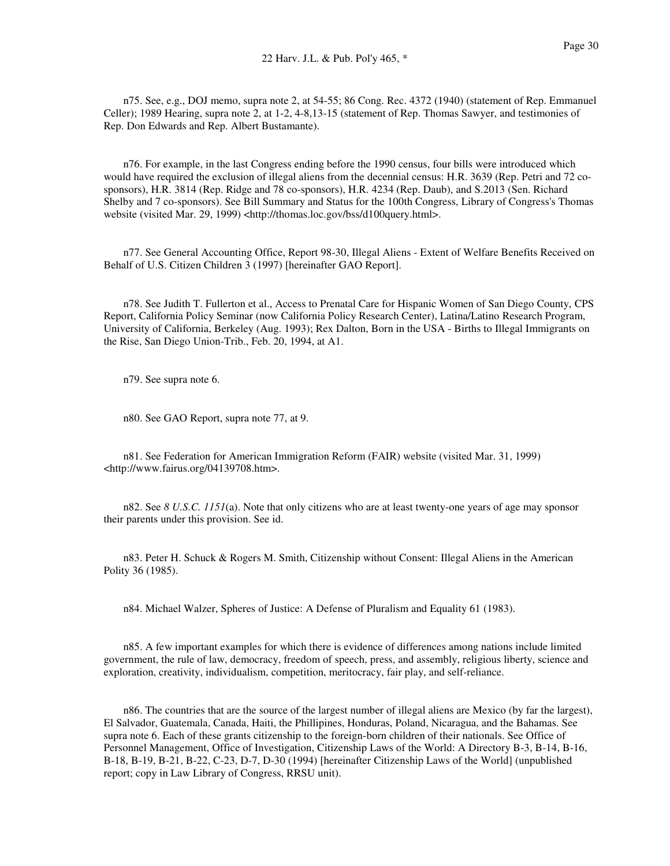n75. See, e.g., DOJ memo, supra note 2, at 54-55; 86 Cong. Rec. 4372 (1940) (statement of Rep. Emmanuel Celler); 1989 Hearing, supra note 2, at 1-2, 4-8,13-15 (statement of Rep. Thomas Sawyer, and testimonies of Rep. Don Edwards and Rep. Albert Bustamante).

n76. For example, in the last Congress ending before the 1990 census, four bills were introduced which would have required the exclusion of illegal aliens from the decennial census: H.R. 3639 (Rep. Petri and 72 cosponsors), H.R. 3814 (Rep. Ridge and 78 co-sponsors), H.R. 4234 (Rep. Daub), and S.2013 (Sen. Richard Shelby and 7 co-sponsors). See Bill Summary and Status for the 100th Congress, Library of Congress's Thomas website (visited Mar. 29, 1999) <http://thomas.loc.gov/bss/d100query.html>.

n77. See General Accounting Office, Report 98-30, Illegal Aliens - Extent of Welfare Benefits Received on Behalf of U.S. Citizen Children 3 (1997) [hereinafter GAO Report].

n78. See Judith T. Fullerton et al., Access to Prenatal Care for Hispanic Women of San Diego County, CPS Report, California Policy Seminar (now California Policy Research Center), Latina/Latino Research Program, University of California, Berkeley (Aug. 1993); Rex Dalton, Born in the USA - Births to Illegal Immigrants on the Rise, San Diego Union-Trib., Feb. 20, 1994, at A1.

n79. See supra note 6.

n80. See GAO Report, supra note 77, at 9.

n81. See Federation for American Immigration Reform (FAIR) website (visited Mar. 31, 1999) <http://www.fairus.org/04139708.htm>.

n82. See *8 U.S.C. 1151*(a). Note that only citizens who are at least twenty-one years of age may sponsor their parents under this provision. See id.

n83. Peter H. Schuck & Rogers M. Smith, Citizenship without Consent: Illegal Aliens in the American Polity 36 (1985).

n84. Michael Walzer, Spheres of Justice: A Defense of Pluralism and Equality 61 (1983).

n85. A few important examples for which there is evidence of differences among nations include limited government, the rule of law, democracy, freedom of speech, press, and assembly, religious liberty, science and exploration, creativity, individualism, competition, meritocracy, fair play, and self-reliance.

n86. The countries that are the source of the largest number of illegal aliens are Mexico (by far the largest), El Salvador, Guatemala, Canada, Haiti, the Phillipines, Honduras, Poland, Nicaragua, and the Bahamas. See supra note 6. Each of these grants citizenship to the foreign-born children of their nationals. See Office of Personnel Management, Office of Investigation, Citizenship Laws of the World: A Directory B-3, B-14, B-16, B-18, B-19, B-21, B-22, C-23, D-7, D-30 (1994) [hereinafter Citizenship Laws of the World] (unpublished report; copy in Law Library of Congress, RRSU unit).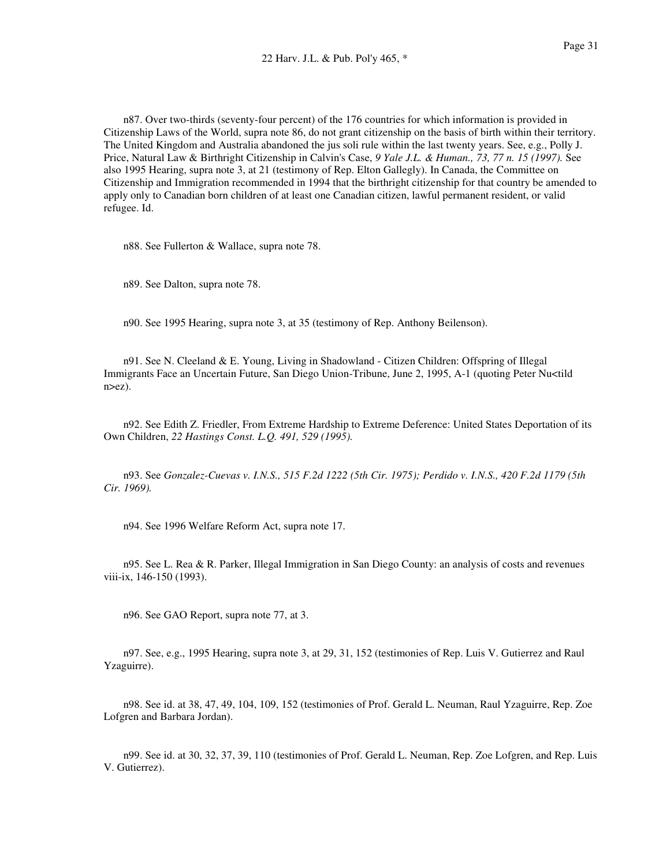n87. Over two-thirds (seventy-four percent) of the 176 countries for which information is provided in Citizenship Laws of the World, supra note 86, do not grant citizenship on the basis of birth within their territory. The United Kingdom and Australia abandoned the jus soli rule within the last twenty years. See, e.g., Polly J. Price, Natural Law & Birthright Citizenship in Calvin's Case, *9 Yale J.L. & Human., 73, 77 n. 15 (1997).* See also 1995 Hearing, supra note 3, at 21 (testimony of Rep. Elton Gallegly). In Canada, the Committee on Citizenship and Immigration recommended in 1994 that the birthright citizenship for that country be amended to apply only to Canadian born children of at least one Canadian citizen, lawful permanent resident, or valid refugee. Id.

n88. See Fullerton & Wallace, supra note 78.

n89. See Dalton, supra note 78.

n90. See 1995 Hearing, supra note 3, at 35 (testimony of Rep. Anthony Beilenson).

n91. See N. Cleeland & E. Young, Living in Shadowland - Citizen Children: Offspring of Illegal Immigrants Face an Uncertain Future, San Diego Union-Tribune, June 2, 1995, A-1 (quoting Peter Nu<tild n>ez).

n92. See Edith Z. Friedler, From Extreme Hardship to Extreme Deference: United States Deportation of its Own Children, *22 Hastings Const. L.Q. 491, 529 (1995).*

n93. See *Gonzalez-Cuevas v. I.N.S., 515 F.2d 1222 (5th Cir. 1975); Perdido v. I.N.S., 420 F.2d 1179 (5th Cir. 1969).*

n94. See 1996 Welfare Reform Act, supra note 17.

n95. See L. Rea & R. Parker, Illegal Immigration in San Diego County: an analysis of costs and revenues viii-ix, 146-150 (1993).

n96. See GAO Report, supra note 77, at 3.

n97. See, e.g., 1995 Hearing, supra note 3, at 29, 31, 152 (testimonies of Rep. Luis V. Gutierrez and Raul Yzaguirre).

n98. See id. at 38, 47, 49, 104, 109, 152 (testimonies of Prof. Gerald L. Neuman, Raul Yzaguirre, Rep. Zoe Lofgren and Barbara Jordan).

n99. See id. at 30, 32, 37, 39, 110 (testimonies of Prof. Gerald L. Neuman, Rep. Zoe Lofgren, and Rep. Luis V. Gutierrez).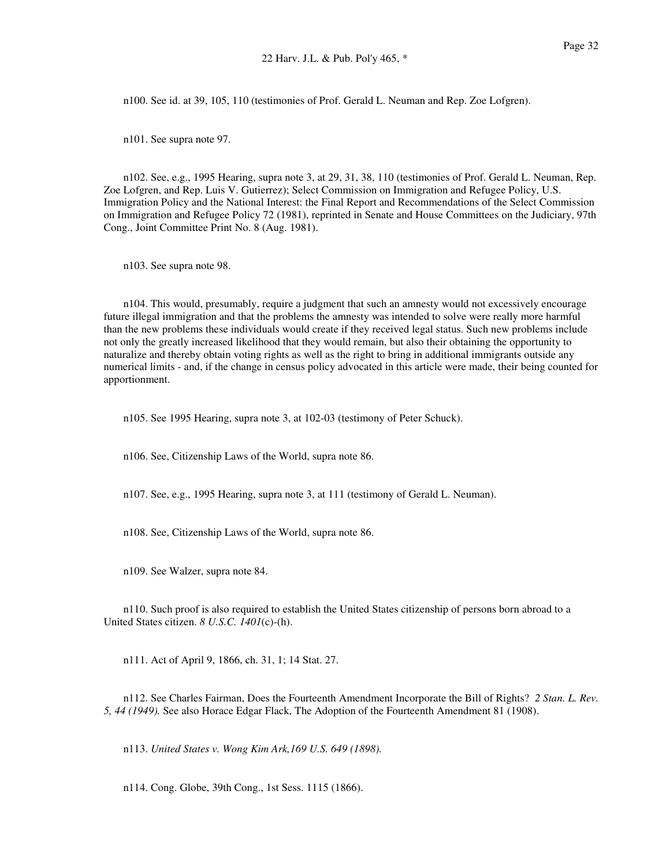n100. See id. at 39, 105, 110 (testimonies of Prof. Gerald L. Neuman and Rep. Zoe Lofgren).

n101. See supra note 97.

n102. See, e.g., 1995 Hearing, supra note 3, at 29, 31, 38, 110 (testimonies of Prof. Gerald L. Neuman, Rep. Zoe Lofgren, and Rep. Luis V. Gutierrez); Select Commission on Immigration and Refugee Policy, U.S. Immigration Policy and the National Interest: the Final Report and Recommendations of the Select Commission on Immigration and Refugee Policy 72 (1981), reprinted in Senate and House Committees on the Judiciary, 97th Cong., Joint Committee Print No. 8 (Aug. 1981).

n103. See supra note 98.

n104. This would, presumably, require a judgment that such an amnesty would not excessively encourage future illegal immigration and that the problems the amnesty was intended to solve were really more harmful than the new problems these individuals would create if they received legal status. Such new problems include not only the greatly increased likelihood that they would remain, but also their obtaining the opportunity to naturalize and thereby obtain voting rights as well as the right to bring in additional immigrants outside any numerical limits - and, if the change in census policy advocated in this article were made, their being counted for apportionment.

n105. See 1995 Hearing, supra note 3, at 102-03 (testimony of Peter Schuck).

n106. See, Citizenship Laws of the World, supra note 86.

n107. See, e.g., 1995 Hearing, supra note 3, at 111 (testimony of Gerald L. Neuman).

n108. See, Citizenship Laws of the World, supra note 86.

n109. See Walzer, supra note 84.

n110. Such proof is also required to establish the United States citizenship of persons born abroad to a United States citizen. *8 U.S.C. 1401*(c)-(h).

n111. Act of April 9, 1866, ch. 31, 1; 14 Stat. 27.

n112. See Charles Fairman, Does the Fourteenth Amendment Incorporate the Bill of Rights? *2 Stan. L. Rev. 5, 44 (1949).* See also Horace Edgar Flack, The Adoption of the Fourteenth Amendment 81 (1908).

n113. *United States v. Wong Kim Ark,169 U.S. 649 (1898).*

n114. Cong. Globe, 39th Cong., 1st Sess. 1115 (1866).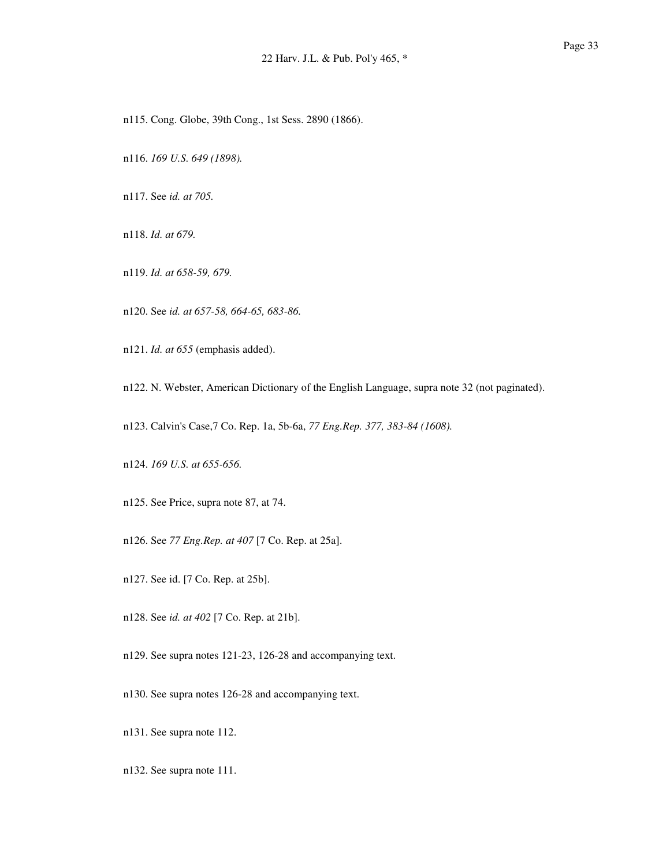- n115. Cong. Globe, 39th Cong., 1st Sess. 2890 (1866).
- n116. *169 U.S. 649 (1898).*
- n117. See *id. at 705.*
- n118. *Id. at 679.*
- n119. *Id. at 658-59, 679.*
- n120. See *id. at 657-58, 664-65, 683-86.*
- n121. *Id. at 655* (emphasis added).
- n122. N. Webster, American Dictionary of the English Language, supra note 32 (not paginated).
- n123. Calvin's Case,7 Co. Rep. 1a, 5b-6a, *77 Eng.Rep. 377, 383-84 (1608).*
- n124. *169 U.S. at 655-656.*
- n125. See Price, supra note 87, at 74.
- n126. See *77 Eng.Rep. at 407* [7 Co. Rep. at 25a].
- n127. See id. [7 Co. Rep. at 25b].
- n128. See *id. at 402* [7 Co. Rep. at 21b].
- n129. See supra notes 121-23, 126-28 and accompanying text.
- n130. See supra notes 126-28 and accompanying text.
- n131. See supra note 112.
- n132. See supra note 111.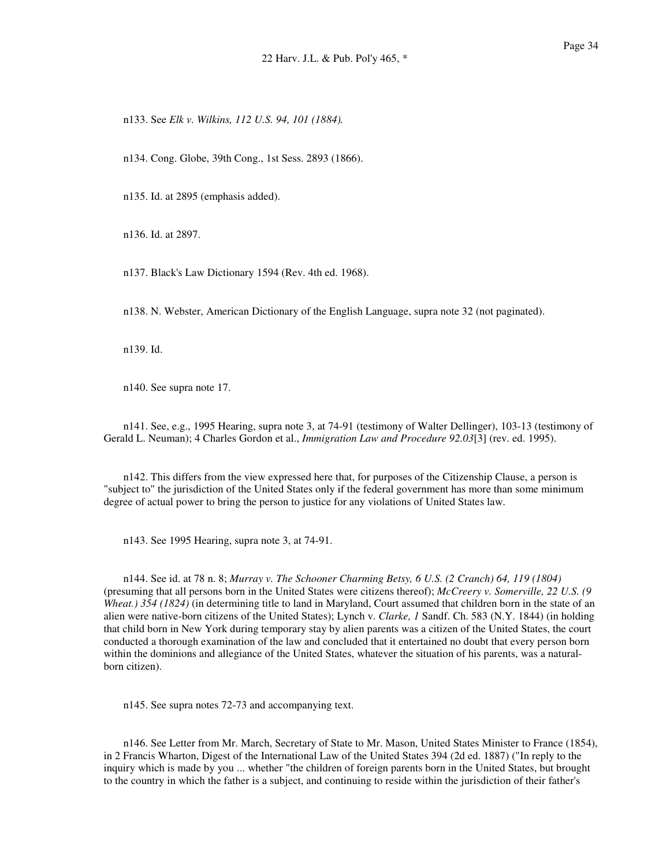n133. See *Elk v. Wilkins, 112 U.S. 94, 101 (1884).*

n134. Cong. Globe, 39th Cong., 1st Sess. 2893 (1866).

n135. Id. at 2895 (emphasis added).

n136. Id. at 2897.

n137. Black's Law Dictionary 1594 (Rev. 4th ed. 1968).

n138. N. Webster, American Dictionary of the English Language, supra note 32 (not paginated).

n139. Id.

n140. See supra note 17.

n141. See, e.g., 1995 Hearing, supra note 3, at 74-91 (testimony of Walter Dellinger), 103-13 (testimony of Gerald L. Neuman); 4 Charles Gordon et al., *Immigration Law and Procedure 92.03*[3] (rev. ed. 1995).

n142. This differs from the view expressed here that, for purposes of the Citizenship Clause, a person is "subject to" the jurisdiction of the United States only if the federal government has more than some minimum degree of actual power to bring the person to justice for any violations of United States law.

n143. See 1995 Hearing, supra note 3, at 74-91.

n144. See id. at 78 n. 8; *Murray v. The Schooner Charming Betsy, 6 U.S. (2 Cranch) 64, 119 (1804)* (presuming that all persons born in the United States were citizens thereof); *McCreery v. Somerville, 22 U.S. (9 Wheat.) 354 (1824)* (in determining title to land in Maryland, Court assumed that children born in the state of an alien were native-born citizens of the United States); Lynch v. *Clarke, 1* Sandf. Ch. 583 (N.Y. 1844) (in holding that child born in New York during temporary stay by alien parents was a citizen of the United States, the court conducted a thorough examination of the law and concluded that it entertained no doubt that every person born within the dominions and allegiance of the United States, whatever the situation of his parents, was a naturalborn citizen).

n145. See supra notes 72-73 and accompanying text.

n146. See Letter from Mr. March, Secretary of State to Mr. Mason, United States Minister to France (1854), in 2 Francis Wharton, Digest of the International Law of the United States 394 (2d ed. 1887) ("In reply to the inquiry which is made by you ... whether "the children of foreign parents born in the United States, but brought to the country in which the father is a subject, and continuing to reside within the jurisdiction of their father's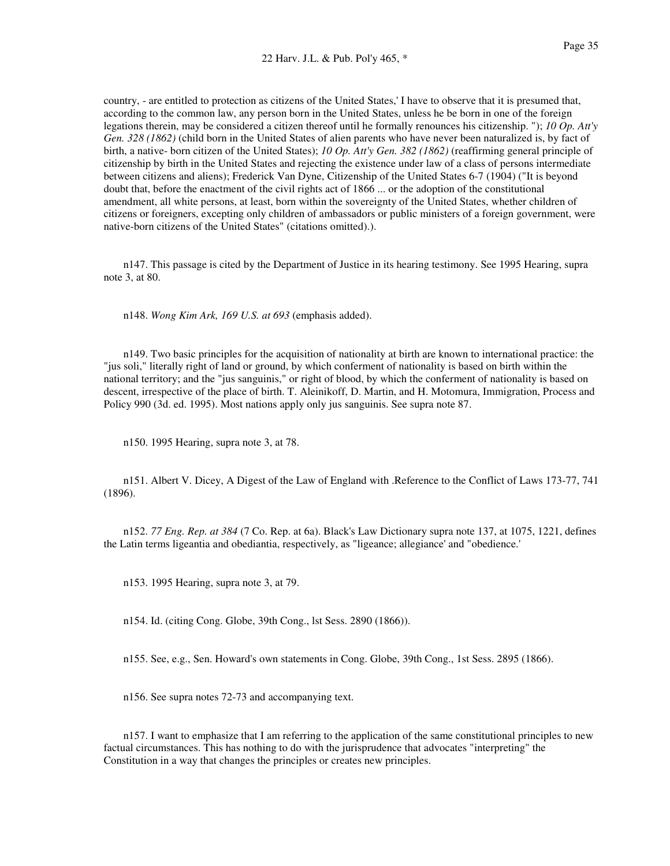country, - are entitled to protection as citizens of the United States,' I have to observe that it is presumed that, according to the common law, any person born in the United States, unless he be born in one of the foreign legations therein, may be considered a citizen thereof until he formally renounces his citizenship. "); *10 Op. Att'y Gen. 328 (1862)* (child born in the United States of alien parents who have never been naturalized is, by fact of birth, a native- born citizen of the United States); *10 Op. Att'y Gen. 382 (1862)* (reaffirming general principle of citizenship by birth in the United States and rejecting the existence under law of a class of persons intermediate between citizens and aliens); Frederick Van Dyne, Citizenship of the United States 6-7 (1904) ("It is beyond doubt that, before the enactment of the civil rights act of 1866 ... or the adoption of the constitutional amendment, all white persons, at least, born within the sovereignty of the United States, whether children of citizens or foreigners, excepting only children of ambassadors or public ministers of a foreign government, were native-born citizens of the United States" (citations omitted).).

n147. This passage is cited by the Department of Justice in its hearing testimony. See 1995 Hearing, supra note 3, at 80.

n148. *Wong Kim Ark, 169 U.S. at 693* (emphasis added).

n149. Two basic principles for the acquisition of nationality at birth are known to international practice: the "jus soli," literally right of land or ground, by which conferment of nationality is based on birth within the national territory; and the "jus sanguinis," or right of blood, by which the conferment of nationality is based on descent, irrespective of the place of birth. T. Aleinikoff, D. Martin, and H. Motomura, Immigration, Process and Policy 990 (3d. ed. 1995). Most nations apply only jus sanguinis. See supra note 87.

n150. 1995 Hearing, supra note 3, at 78.

n151. Albert V. Dicey, A Digest of the Law of England with .Reference to the Conflict of Laws 173-77, 741 (1896).

n152. *77 Eng. Rep. at 384* (7 Co. Rep. at 6a). Black's Law Dictionary supra note 137, at 1075, 1221, defines the Latin terms ligeantia and obediantia, respectively, as "ligeance; allegiance' and "obedience.'

n153. 1995 Hearing, supra note 3, at 79.

n154. Id. (citing Cong. Globe, 39th Cong., lst Sess. 2890 (1866)).

n155. See, e.g., Sen. Howard's own statements in Cong. Globe, 39th Cong., 1st Sess. 2895 (1866).

n156. See supra notes 72-73 and accompanying text.

n157. I want to emphasize that I am referring to the application of the same constitutional principles to new factual circumstances. This has nothing to do with the jurisprudence that advocates "interpreting" the Constitution in a way that changes the principles or creates new principles.